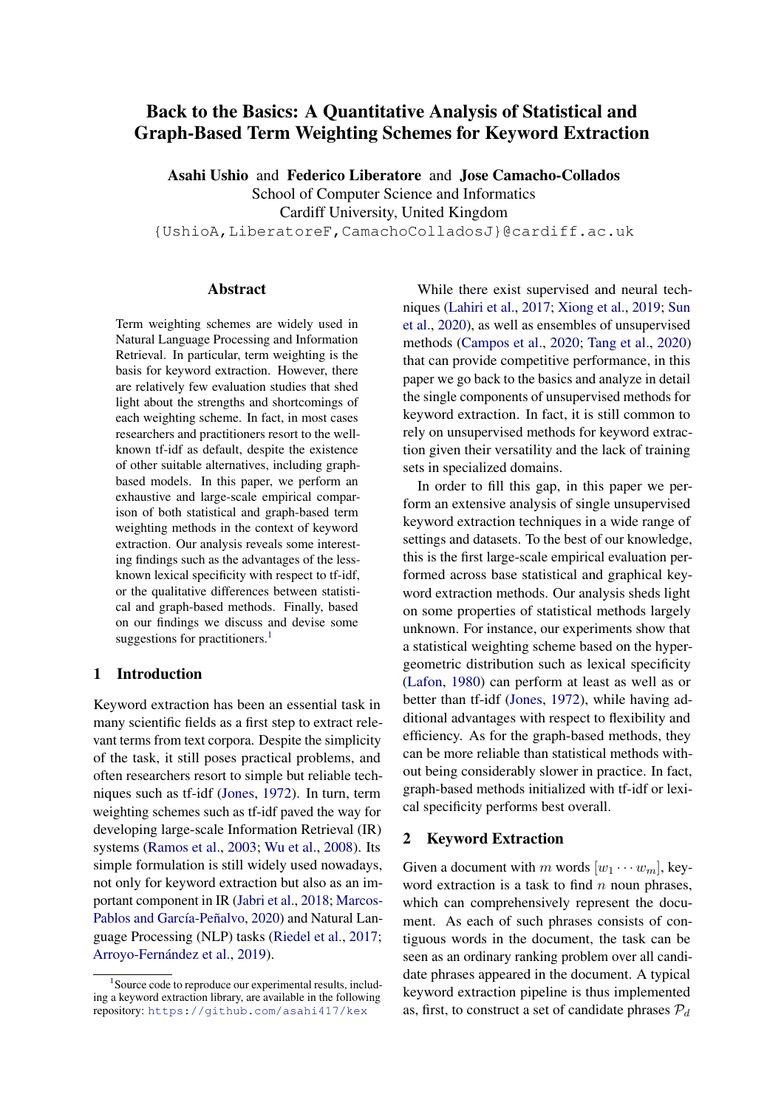# <span id="page-0-0"></span>Back to the Basics: A Quantitative Analysis of Statistical and Graph-Based Term Weighting Schemes for Keyword Extraction

Asahi Ushio and Federico Liberatore and Jose Camacho-Collados School of Computer Science and Informatics Cardiff University, United Kingdom {UshioA,LiberatoreF,CamachoColladosJ}@cardiff.ac.uk

## Abstract

Term weighting schemes are widely used in Natural Language Processing and Information Retrieval. In particular, term weighting is the basis for keyword extraction. However, there are relatively few evaluation studies that shed light about the strengths and shortcomings of each weighting scheme. In fact, in most cases researchers and practitioners resort to the wellknown tf-idf as default, despite the existence of other suitable alternatives, including graphbased models. In this paper, we perform an exhaustive and large-scale empirical comparison of both statistical and graph-based term weighting methods in the context of keyword extraction. Our analysis reveals some interesting findings such as the advantages of the lessknown lexical specificity with respect to tf-idf, or the qualitative differences between statistical and graph-based methods. Finally, based on our findings we discuss and devise some suggestions for practitioners. $<sup>1</sup>$ </sup>

## 1 Introduction

Keyword extraction has been an essential task in many scientific fields as a first step to extract relevant terms from text corpora. Despite the simplicity of the task, it still poses practical problems, and often researchers resort to simple but reliable techniques such as tf-idf [\(Jones,](#page-10-0) [1972\)](#page-10-0). In turn, term weighting schemes such as tf-idf paved the way for developing large-scale Information Retrieval (IR) systems [\(Ramos et al.,](#page-10-1) [2003;](#page-10-1) [Wu et al.,](#page-11-0) [2008\)](#page-11-0). Its simple formulation is still widely used nowadays, not only for keyword extraction but also as an important component in IR [\(Jabri et al.,](#page-9-0) [2018;](#page-9-0) [Marcos-](#page-10-2)[Pablos and García-Peñalvo,](#page-10-2) [2020\)](#page-10-2) and Natural Language Processing (NLP) tasks [\(Riedel et al.,](#page-10-3) [2017;](#page-10-3) [Arroyo-Fernández et al.,](#page-8-0) [2019\)](#page-8-0).

While there exist supervised and neural techniques [\(Lahiri et al.,](#page-10-4) [2017;](#page-10-4) [Xiong et al.,](#page-11-1) [2019;](#page-11-1) [Sun](#page-10-5) [et al.,](#page-10-5) [2020\)](#page-10-5), as well as ensembles of unsupervised methods [\(Campos et al.,](#page-9-1) [2020;](#page-9-1) [Tang et al.,](#page-10-6) [2020\)](#page-10-6) that can provide competitive performance, in this paper we go back to the basics and analyze in detail the single components of unsupervised methods for keyword extraction. In fact, it is still common to rely on unsupervised methods for keyword extraction given their versatility and the lack of training sets in specialized domains.

In order to fill this gap, in this paper we perform an extensive analysis of single unsupervised keyword extraction techniques in a wide range of settings and datasets. To the best of our knowledge, this is the first large-scale empirical evaluation performed across base statistical and graphical keyword extraction methods. Our analysis sheds light on some properties of statistical methods largely unknown. For instance, our experiments show that a statistical weighting scheme based on the hypergeometric distribution such as lexical specificity [\(Lafon,](#page-10-7) [1980\)](#page-10-7) can perform at least as well as or better than tf-idf [\(Jones,](#page-10-0) [1972\)](#page-10-0), while having additional advantages with respect to flexibility and efficiency. As for the graph-based methods, they can be more reliable than statistical methods without being considerably slower in practice. In fact, graph-based methods initialized with tf-idf or lexical specificity performs best overall.

## 2 Keyword Extraction

Given a document with m words  $[w_1 \cdots w_m]$ , keyword extraction is a task to find  $n$  noun phrases, which can comprehensively represent the document. As each of such phrases consists of contiguous words in the document, the task can be seen as an ordinary ranking problem over all candidate phrases appeared in the document. A typical keyword extraction pipeline is thus implemented as, first, to construct a set of candidate phrases  $P_d$ 

<sup>&</sup>lt;sup>1</sup> Source code to reproduce our experimental results, including a keyword extraction library, are available in the following repository: <https://github.com/asahi417/kex>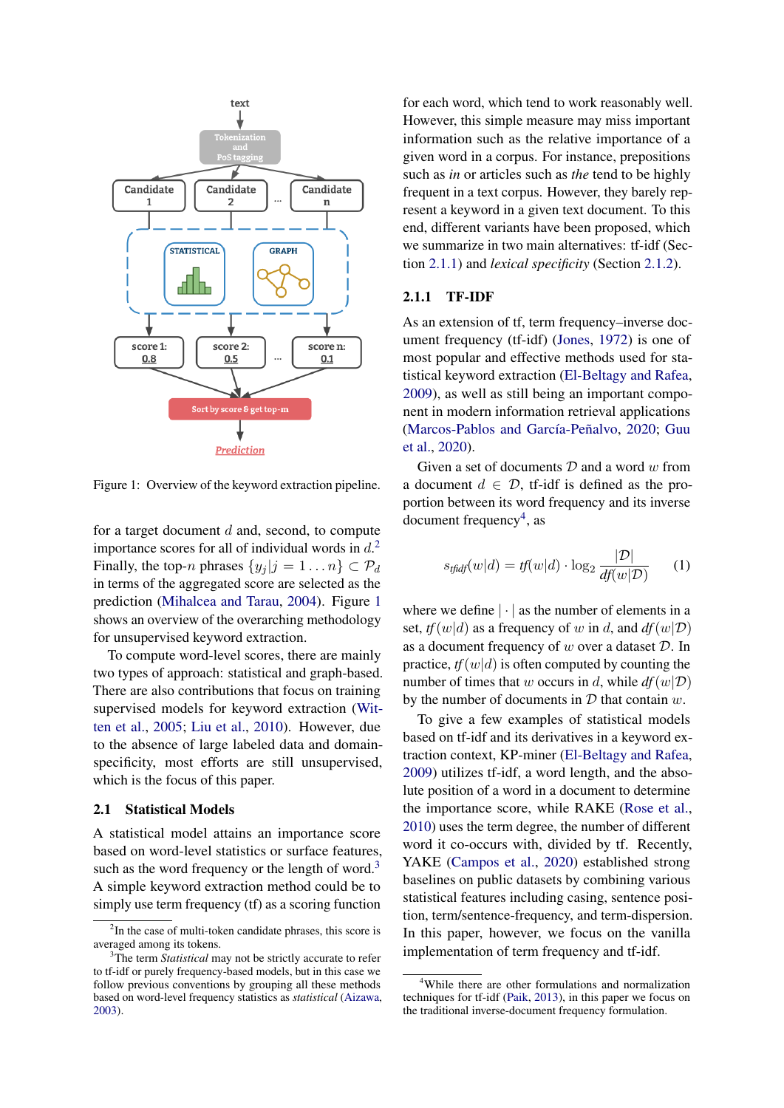<span id="page-1-0"></span>

Figure 1: Overview of the keyword extraction pipeline.

for a target document  $d$  and, second, to compute importance scores for all of individual words in  $d<sup>2</sup>$  $d<sup>2</sup>$  $d<sup>2</sup>$ . Finally, the top-n phrases  $\{y_j | j = 1 \dots n\} \subset \mathcal{P}_d$ in terms of the aggregated score are selected as the prediction [\(Mihalcea and Tarau,](#page-10-8) [2004\)](#page-10-8). Figure [1](#page-1-0) shows an overview of the overarching methodology for unsupervised keyword extraction.

To compute word-level scores, there are mainly two types of approach: statistical and graph-based. There are also contributions that focus on training supervised models for keyword extraction [\(Wit](#page-11-2)[ten et al.,](#page-11-2) [2005;](#page-11-2) [Liu et al.,](#page-10-9) [2010\)](#page-10-9). However, due to the absence of large labeled data and domainspecificity, most efforts are still unsupervised, which is the focus of this paper.

## <span id="page-1-2"></span>2.1 Statistical Models

A statistical model attains an importance score based on word-level statistics or surface features, such as the word frequency or the length of word.<sup>[3](#page-0-0)</sup> A simple keyword extraction method could be to simply use term frequency (tf) as a scoring function

for each word, which tend to work reasonably well. However, this simple measure may miss important information such as the relative importance of a given word in a corpus. For instance, prepositions such as *in* or articles such as *the* tend to be highly frequent in a text corpus. However, they barely represent a keyword in a given text document. To this end, different variants have been proposed, which we summarize in two main alternatives: tf-idf (Section [2.1.1\)](#page-1-1) and *lexical specificity* (Section [2.1.2\)](#page-2-0).

#### <span id="page-1-1"></span>2.1.1 TF-IDF

As an extension of tf, term frequency–inverse document frequency (tf-idf) [\(Jones,](#page-10-0) [1972\)](#page-10-0) is one of most popular and effective methods used for statistical keyword extraction [\(El-Beltagy and Rafea,](#page-9-2) [2009\)](#page-9-2), as well as still being an important component in modern information retrieval applications [\(Marcos-Pablos and García-Peñalvo,](#page-10-2) [2020;](#page-10-2) [Guu](#page-9-3) [et al.,](#page-9-3) [2020\)](#page-9-3).

Given a set of documents  $D$  and a word  $w$  from a document  $d \in \mathcal{D}$ , tf-idf is defined as the proportion between its word frequency and its inverse  $document frequency<sup>4</sup>, as$  $document frequency<sup>4</sup>, as$  $document frequency<sup>4</sup>, as$ 

$$
s_{tfidf}(w|d) = tf(w|d) \cdot \log_2 \frac{|\mathcal{D}|}{df(w|\mathcal{D})}
$$
 (1)

where we define  $|\cdot|$  as the number of elements in a set,  $tf(w|d)$  as a frequency of w in d, and  $df(w|\mathcal{D})$ as a document frequency of  $w$  over a dataset  $D$ . In practice,  $tf(w|d)$  is often computed by counting the number of times that w occurs in d, while  $df(w|\mathcal{D})$ by the number of documents in  $D$  that contain  $w$ .

To give a few examples of statistical models based on tf-idf and its derivatives in a keyword extraction context, KP-miner [\(El-Beltagy and Rafea,](#page-9-2) [2009\)](#page-9-2) utilizes tf-idf, a word length, and the absolute position of a word in a document to determine the importance score, while RAKE [\(Rose et al.,](#page-10-10) [2010\)](#page-10-10) uses the term degree, the number of different word it co-occurs with, divided by tf. Recently, YAKE [\(Campos et al.,](#page-9-1) [2020\)](#page-9-1) established strong baselines on public datasets by combining various statistical features including casing, sentence position, term/sentence-frequency, and term-dispersion. In this paper, however, we focus on the vanilla implementation of term frequency and tf-idf.

 $2$ In the case of multi-token candidate phrases, this score is averaged among its tokens.

<sup>&</sup>lt;sup>3</sup>The term *Statistical* may not be strictly accurate to refer to tf-idf or purely frequency-based models, but in this case we follow previous conventions by grouping all these methods based on word-level frequency statistics as *statistical* [\(Aizawa,](#page-8-1) [2003\)](#page-8-1).

<sup>4</sup>While there are other formulations and normalization techniques for tf-idf [\(Paik,](#page-10-11) [2013\)](#page-10-11), in this paper we focus on the traditional inverse-document frequency formulation.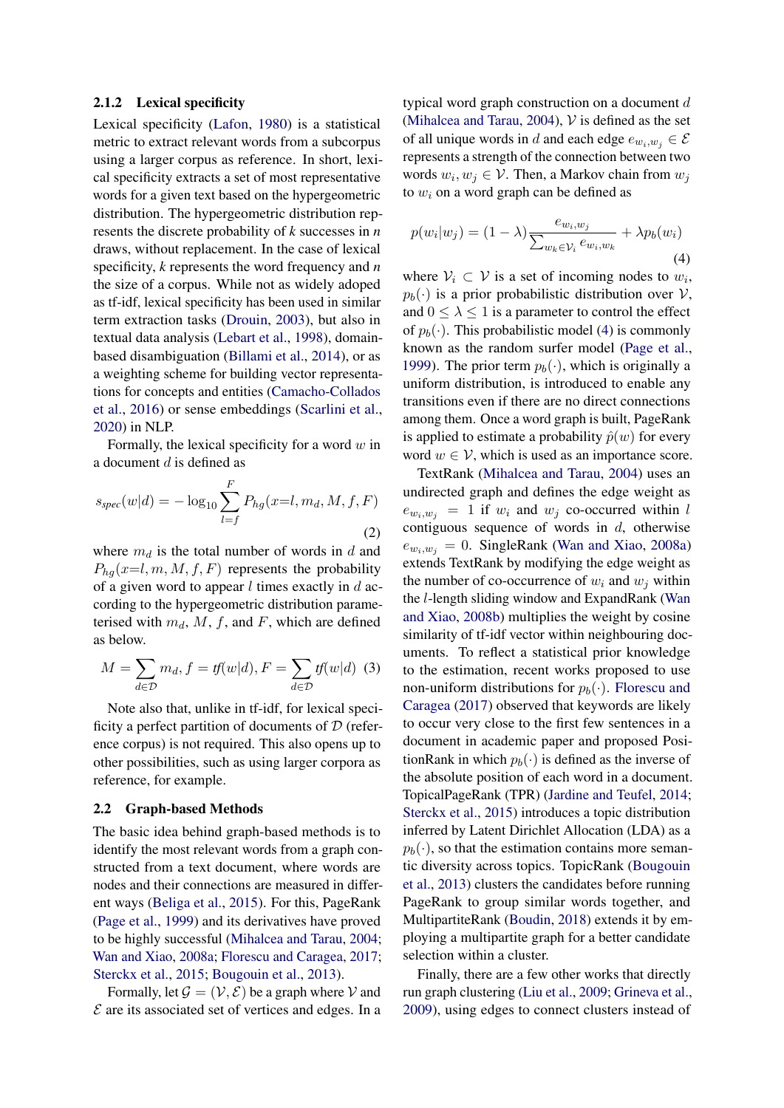#### <span id="page-2-0"></span>2.1.2 Lexical specificity

Lexical specificity [\(Lafon,](#page-10-7) [1980\)](#page-10-7) is a statistical metric to extract relevant words from a subcorpus using a larger corpus as reference. In short, lexical specificity extracts a set of most representative words for a given text based on the hypergeometric distribution. The hypergeometric distribution represents the discrete probability of *k* successes in *n* draws, without replacement. In the case of lexical specificity, *k* represents the word frequency and *n* the size of a corpus. While not as widely adoped as tf-idf, lexical specificity has been used in similar term extraction tasks [\(Drouin,](#page-9-4) [2003\)](#page-9-4), but also in textual data analysis [\(Lebart et al.,](#page-10-12) [1998\)](#page-10-12), domainbased disambiguation [\(Billami et al.,](#page-9-5) [2014\)](#page-9-5), or as a weighting scheme for building vector representations for concepts and entities [\(Camacho-Collados](#page-9-6) [et al.,](#page-9-6) [2016\)](#page-9-6) or sense embeddings [\(Scarlini et al.,](#page-10-13) [2020\)](#page-10-13) in NLP.

Formally, the lexical specificity for a word  $w$  in a document d is defined as

$$
s_{spec}(w|d) = -\log_{10} \sum_{l=f}^{F} P_{hg}(x=l, m_d, M, f, F)
$$
\n(2)

where  $m_d$  is the total number of words in d and  $P_{ha}(x=l, m, M, f, F)$  represents the probability of a given word to appear  $l$  times exactly in  $d$  according to the hypergeometric distribution parameterised with  $m_d$ , M, f, and F, which are defined as below.

$$
M = \sum_{d \in \mathcal{D}} m_d, f = tf(w|d), F = \sum_{d \in \mathcal{D}} tf(w|d) \tag{3}
$$

Note also that, unlike in tf-idf, for lexical specificity a perfect partition of documents of  $D$  (reference corpus) is not required. This also opens up to other possibilities, such as using larger corpora as reference, for example.

#### 2.2 Graph-based Methods

The basic idea behind graph-based methods is to identify the most relevant words from a graph constructed from a text document, where words are nodes and their connections are measured in different ways [\(Beliga et al.,](#page-9-7) [2015\)](#page-9-7). For this, PageRank [\(Page et al.,](#page-10-14) [1999\)](#page-10-14) and its derivatives have proved to be highly successful [\(Mihalcea and Tarau,](#page-10-8) [2004;](#page-10-8) [Wan and Xiao,](#page-11-3) [2008a;](#page-11-3) [Florescu and Caragea,](#page-9-8) [2017;](#page-9-8) [Sterckx et al.,](#page-10-15) [2015;](#page-10-15) [Bougouin et al.,](#page-9-9) [2013\)](#page-9-9).

Formally, let  $\mathcal{G} = (\mathcal{V}, \mathcal{E})$  be a graph where V and  $\mathcal E$  are its associated set of vertices and edges. In a typical word graph construction on a document d [\(Mihalcea and Tarau,](#page-10-8) [2004\)](#page-10-8),  $V$  is defined as the set of all unique words in d and each edge  $e_{w_i,w_j} \in \mathcal{E}$ represents a strength of the connection between two words  $w_i, w_j \in \mathcal{V}$ . Then, a Markov chain from  $w_j$ to  $w_i$  on a word graph can be defined as

<span id="page-2-1"></span>
$$
p(w_i|w_j) = (1 - \lambda) \frac{e_{w_i, w_j}}{\sum_{w_k \in \mathcal{V}_i} e_{w_i, w_k}} + \lambda p_b(w_i)
$$
\n(4)

where  $V_i \subset V$  is a set of incoming nodes to  $w_i$ ,  $p_b(\cdot)$  is a prior probabilistic distribution over V, and  $0 \leq \lambda \leq 1$  is a parameter to control the effect of  $p_b(\cdot)$ . This probabilistic model [\(4\)](#page-2-1) is commonly known as the random surfer model [\(Page et al.,](#page-10-14) [1999\)](#page-10-14). The prior term  $p_b(\cdot)$ , which is originally a uniform distribution, is introduced to enable any transitions even if there are no direct connections among them. Once a word graph is built, PageRank is applied to estimate a probability  $\hat{p}(w)$  for every word  $w \in V$ , which is used as an importance score.

TextRank [\(Mihalcea and Tarau,](#page-10-8) [2004\)](#page-10-8) uses an undirected graph and defines the edge weight as  $e_{w_i,w_j} = 1$  if  $w_i$  and  $w_j$  co-occurred within l contiguous sequence of words in  $d$ , otherwise  $e_{w_i,w_j} = 0$ . SingleRank [\(Wan and Xiao,](#page-11-3) [2008a\)](#page-11-3) extends TextRank by modifying the edge weight as the number of co-occurrence of  $w_i$  and  $w_j$  within the l-length sliding window and ExpandRank [\(Wan](#page-11-4) [and Xiao,](#page-11-4) [2008b\)](#page-11-4) multiplies the weight by cosine similarity of tf-idf vector within neighbouring documents. To reflect a statistical prior knowledge to the estimation, recent works proposed to use non-uniform distributions for  $p_b(\cdot)$ . [Florescu and](#page-9-8) [Caragea](#page-9-8) [\(2017\)](#page-9-8) observed that keywords are likely to occur very close to the first few sentences in a document in academic paper and proposed PositionRank in which  $p_b(\cdot)$  is defined as the inverse of the absolute position of each word in a document. TopicalPageRank (TPR) [\(Jardine and Teufel,](#page-9-10) [2014;](#page-9-10) [Sterckx et al.,](#page-10-15) [2015\)](#page-10-15) introduces a topic distribution inferred by Latent Dirichlet Allocation (LDA) as a  $p_b(\cdot)$ , so that the estimation contains more semantic diversity across topics. TopicRank [\(Bougouin](#page-9-9) [et al.,](#page-9-9) [2013\)](#page-9-9) clusters the candidates before running PageRank to group similar words together, and MultipartiteRank [\(Boudin,](#page-9-11) [2018\)](#page-9-11) extends it by employing a multipartite graph for a better candidate selection within a cluster.

Finally, there are a few other works that directly run graph clustering [\(Liu et al.,](#page-10-16) [2009;](#page-10-16) [Grineva et al.,](#page-9-12) [2009\)](#page-9-12), using edges to connect clusters instead of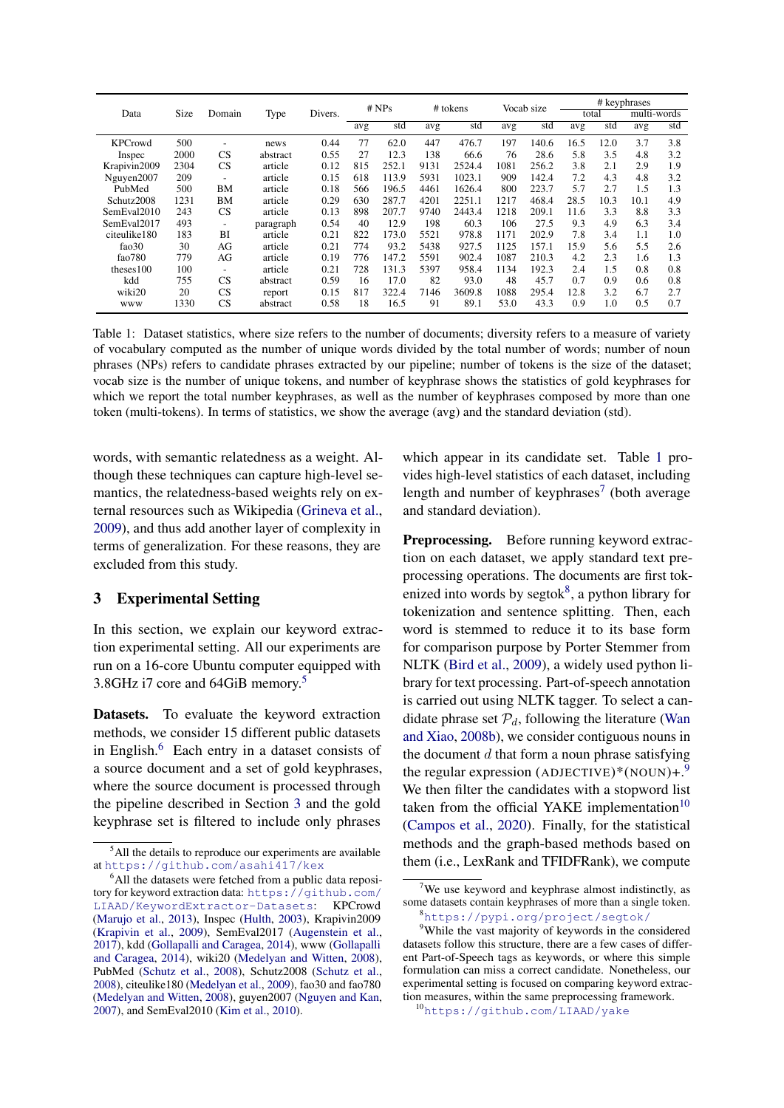<span id="page-3-1"></span>

|                |      |                          |           |         |     | # NPs |      | # tokens |      | Vocab size |      |       | # keyphrases |     |
|----------------|------|--------------------------|-----------|---------|-----|-------|------|----------|------|------------|------|-------|--------------|-----|
| Data           | Size | Domain                   | Type      | Divers. |     |       |      |          |      |            |      | total | multi-words  |     |
|                |      |                          |           |         | avg | std   | avg  | std      | avg  | std        | avg  | std   | avg          | std |
| <b>KPCrowd</b> | 500  | $\overline{\phantom{0}}$ | news      | 0.44    | 77  | 62.0  | 447  | 476.7    | 197  | 140.6      | 16.5 | 12.0  | 3.7          | 3.8 |
| Inspec         | 2000 | CS                       | abstract  | 0.55    | 27  | 12.3  | 138  | 66.6     | 76   | 28.6       | 5.8  | 3.5   | 4.8          | 3.2 |
| Krapivin2009   | 2304 | CS                       | article   | 0.12    | 815 | 252.1 | 9131 | 2524.4   | 1081 | 256.2      | 3.8  | 2.1   | 2.9          | 1.9 |
| Nguyen2007     | 209  | $\overline{\phantom{a}}$ | article   | 0.15    | 618 | 113.9 | 5931 | 1023.1   | 909  | 142.4      | 7.2  | 4.3   | 4.8          | 3.2 |
| PubMed         | 500  | ΒM                       | article   | 0.18    | 566 | 196.5 | 4461 | 1626.4   | 800  | 223.7      | 5.7  | 2.7   | 1.5          | 1.3 |
| Schutz2008     | 1231 | BM                       | article   | 0.29    | 630 | 287.7 | 4201 | 2251.1   | 1217 | 468.4      | 28.5 | 10.3  | 10.1         | 4.9 |
| SemEval2010    | 243  | <b>CS</b>                | article   | 0.13    | 898 | 207.7 | 9740 | 2443.4   | 1218 | 209.1      | 11.6 | 3.3   | 8.8          | 3.3 |
| SemEval2017    | 493  | -                        | paragraph | 0.54    | 40  | 12.9  | 198  | 60.3     | 106  | 27.5       | 9.3  | 4.9   | 6.3          | 3.4 |
| citeulike180   | 183  | ВI                       | article   | 0.21    | 822 | 173.0 | 5521 | 978.8    | 1171 | 202.9      | 7.8  | 3.4   | 1.1          | 1.0 |
| fao30          | 30   | AG                       | article   | 0.21    | 774 | 93.2  | 5438 | 927.5    | 1125 | 157.1      | 15.9 | 5.6   | 5.5          | 2.6 |
| fao $780$      | 779  | AG                       | article   | 0.19    | 776 | 147.2 | 5591 | 902.4    | 1087 | 210.3      | 4.2  | 2.3   | 1.6          | 1.3 |
| theses100      | 100  | $\overline{\phantom{a}}$ | article   | 0.21    | 728 | 131.3 | 5397 | 958.4    | 1134 | 192.3      | 2.4  | 1.5   | 0.8          | 0.8 |
| kdd            | 755  | <b>CS</b>                | abstract  | 0.59    | 16  | 17.0  | 82   | 93.0     | 48   | 45.7       | 0.7  | 0.9   | 0.6          | 0.8 |
| wiki20         | 20   | CS                       | report    | 0.15    | 817 | 322.4 | 7146 | 3609.8   | 1088 | 295.4      | 12.8 | 3.2   | 6.7          | 2.7 |
| www            | 1330 | CS                       | abstract  | 0.58    | 18  | 16.5  | 91   | 89.1     | 53.0 | 43.3       | 0.9  | 1.0   | 0.5          | 0.7 |

Table 1: Dataset statistics, where size refers to the number of documents; diversity refers to a measure of variety of vocabulary computed as the number of unique words divided by the total number of words; number of noun phrases (NPs) refers to candidate phrases extracted by our pipeline; number of tokens is the size of the dataset; vocab size is the number of unique tokens, and number of keyphrase shows the statistics of gold keyphrases for which we report the total number keyphrases, as well as the number of keyphrases composed by more than one token (multi-tokens). In terms of statistics, we show the average (avg) and the standard deviation (std).

words, with semantic relatedness as a weight. Although these techniques can capture high-level semantics, the relatedness-based weights rely on external resources such as Wikipedia [\(Grineva et al.,](#page-9-12) [2009\)](#page-9-12), and thus add another layer of complexity in terms of generalization. For these reasons, they are excluded from this study.

## 3 Experimental Setting

In this section, we explain our keyword extraction experimental setting. All our experiments are run on a 16-core Ubuntu computer equipped with 3.8GHz i7 core and 64GiB memory.[5](#page-0-0)

Datasets. To evaluate the keyword extraction methods, we consider 15 different public datasets in English. $<sup>6</sup>$  $<sup>6</sup>$  $<sup>6</sup>$  Each entry in a dataset consists of</sup> a source document and a set of gold keyphrases, where the source document is processed through the pipeline described in Section [3](#page-3-0) and the gold keyphrase set is filtered to include only phrases

which appear in its candidate set. Table [1](#page-3-1) provides high-level statistics of each dataset, including length and number of keyphrases<sup>[7](#page-0-0)</sup> (both average and standard deviation).

<span id="page-3-0"></span>Preprocessing. Before running keyword extraction on each dataset, we apply standard text preprocessing operations. The documents are first tokenized into words by segtok $8$ , a python library for tokenization and sentence splitting. Then, each word is stemmed to reduce it to its base form for comparison purpose by Porter Stemmer from NLTK [\(Bird et al.,](#page-9-15) [2009\)](#page-9-15), a widely used python library for text processing. Part-of-speech annotation is carried out using NLTK tagger. To select a candidate phrase set  $P_d$ , following the literature [\(Wan](#page-11-4) [and Xiao,](#page-11-4) [2008b\)](#page-11-4), we consider contiguous nouns in the document  $d$  that form a noun phrase satisfying the regular expression (ADJECTIVE)\*(NOUN)+.<sup>[9](#page-0-0)</sup> We then filter the candidates with a stopword list taken from the official YAKE implementation $10$ [\(Campos et al.,](#page-9-1) [2020\)](#page-9-1). Finally, for the statistical methods and the graph-based methods based on them (i.e., LexRank and TFIDFRank), we compute

<sup>&</sup>lt;sup>5</sup>All the details to reproduce our experiments are available at <https://github.com/asahi417/kex>

<sup>&</sup>lt;sup>6</sup>All the datasets were fetched from a public data repository for keyword extraction data: [https://github.com/](https://github.com/LIAAD/KeywordExtractor-Datasets) [LIAAD/KeywordExtractor-Datasets](https://github.com/LIAAD/KeywordExtractor-Datasets): KPCrowd [\(Marujo et al.,](#page-10-17) [2013\)](#page-10-17), Inspec [\(Hulth,](#page-9-13) [2003\)](#page-9-13), Krapivin2009 [\(Krapivin et al.,](#page-10-18) [2009\)](#page-10-18), SemEval2017 [\(Augenstein et al.,](#page-8-2) [2017\)](#page-8-2), kdd [\(Gollapalli and Caragea,](#page-9-14) [2014\)](#page-9-14), www [\(Gollapalli](#page-9-14) [and Caragea,](#page-9-14) [2014\)](#page-9-14), wiki20 [\(Medelyan and Witten,](#page-10-19) [2008\)](#page-10-19), PubMed [\(Schutz et al.,](#page-10-20) [2008\)](#page-10-20), Schutz2008 (Schutz et al., [2008\)](#page-10-20), citeulike180 [\(Medelyan et al.,](#page-10-21) [2009\)](#page-10-21), fao30 and fao780 [\(Medelyan and Witten,](#page-10-19) [2008\)](#page-10-19), guyen2007 [\(Nguyen and Kan,](#page-10-22) [2007\)](#page-10-22), and SemEval2010 [\(Kim et al.,](#page-10-23) [2010\)](#page-10-23).

<sup>&</sup>lt;sup>7</sup>We use keyword and keyphrase almost indistinctly, as some datasets contain keyphrases of more than a single token.

<sup>8</sup><https://pypi.org/project/segtok/>

<sup>&</sup>lt;sup>9</sup>While the vast majority of keywords in the considered datasets follow this structure, there are a few cases of different Part-of-Speech tags as keywords, or where this simple formulation can miss a correct candidate. Nonetheless, our experimental setting is focused on comparing keyword extraction measures, within the same preprocessing framework.

<sup>10</sup><https://github.com/LIAAD/yake>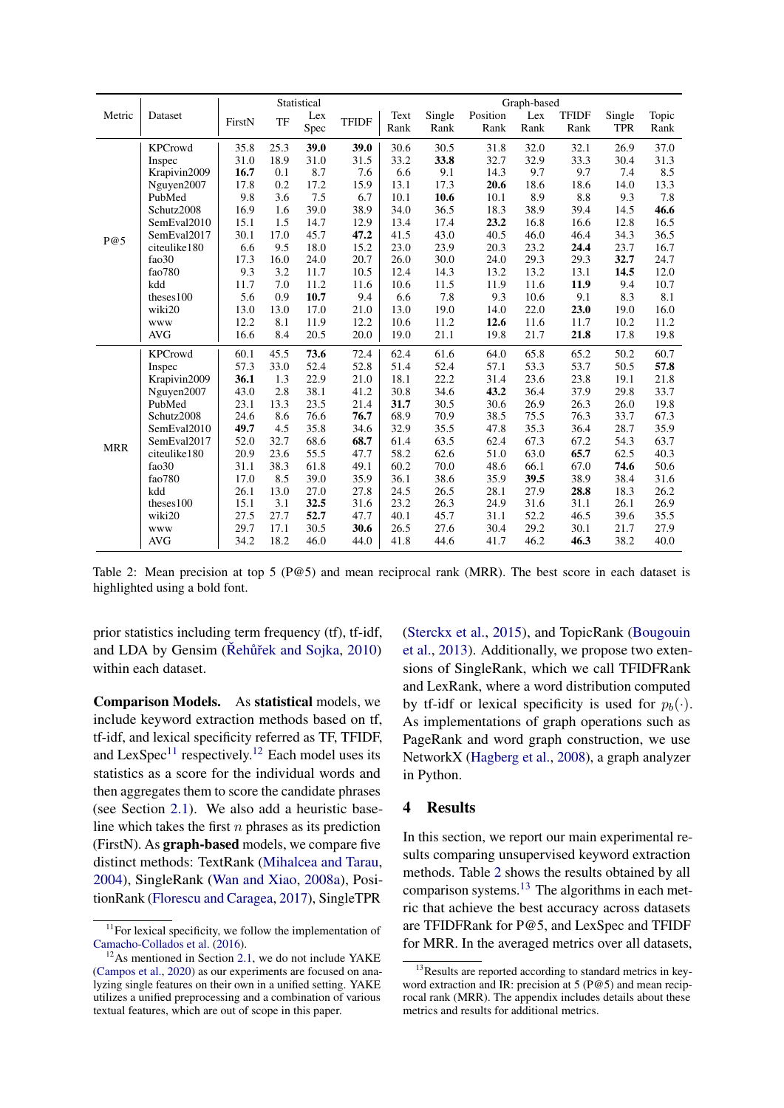<span id="page-4-0"></span>

|            |                |        |      | Statistical |              |      |        |          | Graph-based |              |            |       |
|------------|----------------|--------|------|-------------|--------------|------|--------|----------|-------------|--------------|------------|-------|
| Metric     | Dataset        | FirstN | TF   | Lex         | <b>TFIDF</b> | Text | Single | Position | Lex         | <b>TFIDF</b> | Single     | Topic |
|            |                |        |      | Spec        |              | Rank | Rank   | Rank     | Rank        | Rank         | <b>TPR</b> | Rank  |
|            | <b>KPCrowd</b> | 35.8   | 25.3 | 39.0        | 39.0         | 30.6 | 30.5   | 31.8     | 32.0        | 32.1         | 26.9       | 37.0  |
|            | Inspec         | 31.0   | 18.9 | 31.0        | 31.5         | 33.2 | 33.8   | 32.7     | 32.9        | 33.3         | 30.4       | 31.3  |
|            | Krapivin2009   | 16.7   | 0.1  | 8.7         | 7.6          | 6.6  | 9.1    | 14.3     | 9.7         | 9.7          | 7.4        | 8.5   |
|            | Nguyen2007     | 17.8   | 0.2  | 17.2        | 15.9         | 13.1 | 17.3   | 20.6     | 18.6        | 18.6         | 14.0       | 13.3  |
|            | PubMed         | 9.8    | 3.6  | 7.5         | 6.7          | 10.1 | 10.6   | 10.1     | 8.9         | 8.8          | 9.3        | 7.8   |
|            | Schutz2008     | 16.9   | 1.6  | 39.0        | 38.9         | 34.0 | 36.5   | 18.3     | 38.9        | 39.4         | 14.5       | 46.6  |
|            | SemEval2010    | 15.1   | 1.5  | 14.7        | 12.9         | 13.4 | 17.4   | 23.2     | 16.8        | 16.6         | 12.8       | 16.5  |
| P@5        | SemEval2017    | 30.1   | 17.0 | 45.7        | 47.2         | 41.5 | 43.0   | 40.5     | 46.0        | 46.4         | 34.3       | 36.5  |
|            | citeulike180   | 6.6    | 9.5  | 18.0        | 15.2         | 23.0 | 23.9   | 20.3     | 23.2        | 24.4         | 23.7       | 16.7  |
|            | fao30          | 17.3   | 16.0 | 24.0        | 20.7         | 26.0 | 30.0   | 24.0     | 29.3        | 29.3         | 32.7       | 24.7  |
|            | fao780         | 9.3    | 3.2  | 11.7        | 10.5         | 12.4 | 14.3   | 13.2     | 13.2        | 13.1         | 14.5       | 12.0  |
|            | kdd            | 11.7   | 7.0  | 11.2        | 11.6         | 10.6 | 11.5   | 11.9     | 11.6        | 11.9         | 9.4        | 10.7  |
|            | theses100      | 5.6    | 0.9  | 10.7        | 9.4          | 6.6  | 7.8    | 9.3      | 10.6        | 9.1          | 8.3        | 8.1   |
|            | wiki20         | 13.0   | 13.0 | 17.0        | 21.0         | 13.0 | 19.0   | 14.0     | 22.0        | 23.0         | 19.0       | 16.0  |
|            | www            | 12.2   | 8.1  | 11.9        | 12.2         | 10.6 | 11.2   | 12.6     | 11.6        | 11.7         | 10.2       | 11.2  |
|            | <b>AVG</b>     | 16.6   | 8.4  | 20.5        | 20.0         | 19.0 | 21.1   | 19.8     | 21.7        | 21.8         | 17.8       | 19.8  |
|            | <b>KPCrowd</b> | 60.1   | 45.5 | 73.6        | 72.4         | 62.4 | 61.6   | 64.0     | 65.8        | 65.2         | 50.2       | 60.7  |
|            | Inspec         | 57.3   | 33.0 | 52.4        | 52.8         | 51.4 | 52.4   | 57.1     | 53.3        | 53.7         | 50.5       | 57.8  |
|            | Krapivin2009   | 36.1   | 1.3  | 22.9        | 21.0         | 18.1 | 22.2   | 31.4     | 23.6        | 23.8         | 19.1       | 21.8  |
|            | Nguyen2007     | 43.0   | 2.8  | 38.1        | 41.2         | 30.8 | 34.6   | 43.2     | 36.4        | 37.9         | 29.8       | 33.7  |
|            | PubMed         | 23.1   | 13.3 | 23.5        | 21.4         | 31.7 | 30.5   | 30.6     | 26.9        | 26.3         | 26.0       | 19.8  |
|            | Schutz2008     | 24.6   | 8.6  | 76.6        | 76.7         | 68.9 | 70.9   | 38.5     | 75.5        | 76.3         | 33.7       | 67.3  |
|            | SemEval2010    | 49.7   | 4.5  | 35.8        | 34.6         | 32.9 | 35.5   | 47.8     | 35.3        | 36.4         | 28.7       | 35.9  |
| <b>MRR</b> | SemEval2017    | 52.0   | 32.7 | 68.6        | 68.7         | 61.4 | 63.5   | 62.4     | 67.3        | 67.2         | 54.3       | 63.7  |
|            | citeulike180   | 20.9   | 23.6 | 55.5        | 47.7         | 58.2 | 62.6   | 51.0     | 63.0        | 65.7         | 62.5       | 40.3  |
|            | fao30          | 31.1   | 38.3 | 61.8        | 49.1         | 60.2 | 70.0   | 48.6     | 66.1        | 67.0         | 74.6       | 50.6  |
|            | fao780         | 17.0   | 8.5  | 39.0        | 35.9         | 36.1 | 38.6   | 35.9     | 39.5        | 38.9         | 38.4       | 31.6  |
|            | kdd            | 26.1   | 13.0 | 27.0        | 27.8         | 24.5 | 26.5   | 28.1     | 27.9        | 28.8         | 18.3       | 26.2  |
|            | theses100      | 15.1   | 3.1  | 32.5        | 31.6         | 23.2 | 26.3   | 24.9     | 31.6        | 31.1         | 26.1       | 26.9  |
|            | wiki20         | 27.5   | 27.7 | 52.7        | 47.7         | 40.1 | 45.7   | 31.1     | 52.2        | 46.5         | 39.6       | 35.5  |
|            | <b>WWW</b>     | 29.7   | 17.1 | 30.5        | 30.6         | 26.5 | 27.6   | 30.4     | 29.2        | 30.1         | 21.7       | 27.9  |
|            | <b>AVG</b>     | 34.2   | 18.2 | 46.0        | 44.0         | 41.8 | 44.6   | 41.7     | 46.2        | 46.3         | 38.2       | 40.0  |

Table 2: Mean precision at top 5 (P@5) and mean reciprocal rank (MRR). The best score in each dataset is highlighted using a bold font.

prior statistics including term frequency (tf), tf-idf, and LDA by Gensim ( $\check{R}$ ehůřek and Sojka, [2010\)](#page-10-24) within each dataset.

Comparison Models. As statistical models, we include keyword extraction methods based on tf, tf-idf, and lexical specificity referred as TF, TFIDF, and LexSpec<sup>[11](#page-0-0)</sup> respectively.<sup>[12](#page-0-0)</sup> Each model uses its statistics as a score for the individual words and then aggregates them to score the candidate phrases (see Section [2.1\)](#page-1-2). We also add a heuristic baseline which takes the first  $n$  phrases as its prediction (FirstN). As graph-based models, we compare five distinct methods: TextRank [\(Mihalcea and Tarau,](#page-10-8) [2004\)](#page-10-8), SingleRank [\(Wan and Xiao,](#page-11-3) [2008a\)](#page-11-3), PositionRank [\(Florescu and Caragea,](#page-9-8) [2017\)](#page-9-8), SingleTPR

[\(Sterckx et al.,](#page-10-15) [2015\)](#page-10-15), and TopicRank [\(Bougouin](#page-9-9) [et al.,](#page-9-9) [2013\)](#page-9-9). Additionally, we propose two extensions of SingleRank, which we call TFIDFRank and LexRank, where a word distribution computed by tf-idf or lexical specificity is used for  $p_b(\cdot)$ . As implementations of graph operations such as PageRank and word graph construction, we use NetworkX [\(Hagberg et al.,](#page-9-16) [2008\)](#page-9-16), a graph analyzer in Python.

## 4 Results

In this section, we report our main experimental results comparing unsupervised keyword extraction methods. Table [2](#page-4-0) shows the results obtained by all comparison systems.[13](#page-0-0) The algorithms in each metric that achieve the best accuracy across datasets are TFIDFRank for P@5, and LexSpec and TFIDF for MRR. In the averaged metrics over all datasets,

 $11$ For lexical specificity, we follow the implementation of [Camacho-Collados et al.](#page-9-6) [\(2016\)](#page-9-6).

 $12$ As mentioned in Section [2.1,](#page-1-2) we do not include YAKE [\(Campos et al.,](#page-9-1) [2020\)](#page-9-1) as our experiments are focused on analyzing single features on their own in a unified setting. YAKE utilizes a unified preprocessing and a combination of various textual features, which are out of scope in this paper.

<sup>&</sup>lt;sup>13</sup>Results are reported according to standard metrics in keyword extraction and IR: precision at 5 (P@5) and mean reciprocal rank (MRR). The appendix includes details about these metrics and results for additional metrics.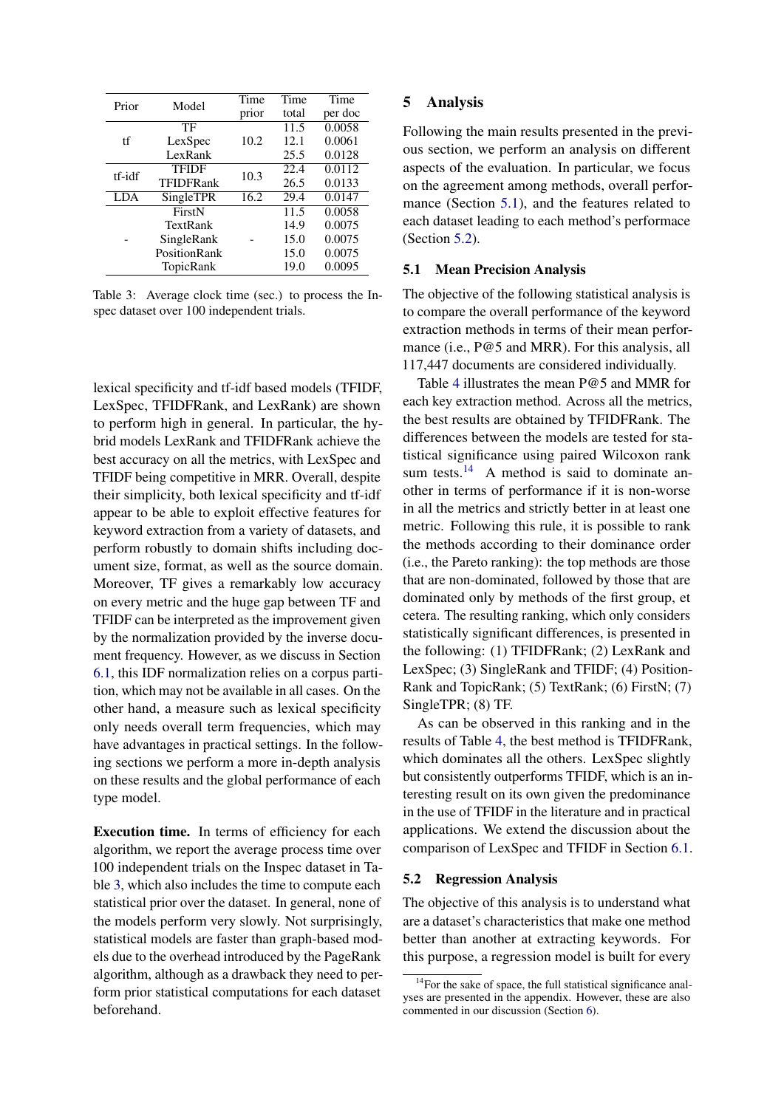<span id="page-5-0"></span>

| Prior  | Model        | Time  | Time  | Time                |
|--------|--------------|-------|-------|---------------------|
|        |              | prior | total | per doc             |
|        | TF           |       | 11.5  | 0.0058              |
| tf     | LexSpec      | 10.2  | 12.1  | 0.0061              |
|        | LexRank      |       | 25.5  | 0.0128              |
|        | <b>TFIDF</b> | 10.3  | 22.4  | $\overline{0.0112}$ |
| tf-idf | TFIDFRank    |       | 26.5  | 0.0133              |
| LDA    | SingleTPR    | 16.2  | 29.4  | 0.0147              |
|        | FirstN       |       | 11.5  | 0.0058              |
|        | TextRank     |       | 14.9  | 0.0075              |
|        | SingleRank   |       | 15.0  | 0.0075              |
|        | PositionRank |       | 15.0  | 0.0075              |
|        | TopicRank    |       | 19.0  | 0.0095              |

Table 3: Average clock time (sec.) to process the Inspec dataset over 100 independent trials.

lexical specificity and tf-idf based models (TFIDF, LexSpec, TFIDFRank, and LexRank) are shown to perform high in general. In particular, the hybrid models LexRank and TFIDFRank achieve the best accuracy on all the metrics, with LexSpec and TFIDF being competitive in MRR. Overall, despite their simplicity, both lexical specificity and tf-idf appear to be able to exploit effective features for keyword extraction from a variety of datasets, and perform robustly to domain shifts including document size, format, as well as the source domain. Moreover, TF gives a remarkably low accuracy on every metric and the huge gap between TF and TFIDF can be interpreted as the improvement given by the normalization provided by the inverse document frequency. However, as we discuss in Section [6.1,](#page-7-0) this IDF normalization relies on a corpus partition, which may not be available in all cases. On the other hand, a measure such as lexical specificity only needs overall term frequencies, which may have advantages in practical settings. In the following sections we perform a more in-depth analysis on these results and the global performance of each type model.

Execution time. In terms of efficiency for each algorithm, we report the average process time over 100 independent trials on the Inspec dataset in Table [3,](#page-5-0) which also includes the time to compute each statistical prior over the dataset. In general, none of the models perform very slowly. Not surprisingly, statistical models are faster than graph-based models due to the overhead introduced by the PageRank algorithm, although as a drawback they need to perform prior statistical computations for each dataset beforehand.

## 5 Analysis

Following the main results presented in the previous section, we perform an analysis on different aspects of the evaluation. In particular, we focus on the agreement among methods, overall performance (Section [5.1\)](#page-5-1), and the features related to each dataset leading to each method's performace (Section [5.2\)](#page-5-2).

## <span id="page-5-1"></span>5.1 Mean Precision Analysis

The objective of the following statistical analysis is to compare the overall performance of the keyword extraction methods in terms of their mean performance (i.e., P@5 and MRR). For this analysis, all 117,447 documents are considered individually.

Table [4](#page-6-0) illustrates the mean P@5 and MMR for each key extraction method. Across all the metrics, the best results are obtained by TFIDFRank. The differences between the models are tested for statistical significance using paired Wilcoxon rank sum tests.<sup>[14](#page-0-0)</sup> A method is said to dominate another in terms of performance if it is non-worse in all the metrics and strictly better in at least one metric. Following this rule, it is possible to rank the methods according to their dominance order (i.e., the Pareto ranking): the top methods are those that are non-dominated, followed by those that are dominated only by methods of the first group, et cetera. The resulting ranking, which only considers statistically significant differences, is presented in the following: (1) TFIDFRank; (2) LexRank and LexSpec; (3) SingleRank and TFIDF; (4) Position-Rank and TopicRank; (5) TextRank; (6) FirstN; (7) SingleTPR; (8) TF.

As can be observed in this ranking and in the results of Table [4,](#page-6-0) the best method is TFIDFRank, which dominates all the others. LexSpec slightly but consistently outperforms TFIDF, which is an interesting result on its own given the predominance in the use of TFIDF in the literature and in practical applications. We extend the discussion about the comparison of LexSpec and TFIDF in Section [6.1.](#page-7-0)

## <span id="page-5-2"></span>5.2 Regression Analysis

The objective of this analysis is to understand what are a dataset's characteristics that make one method better than another at extracting keywords. For this purpose, a regression model is built for every

<sup>&</sup>lt;sup>14</sup>For the sake of space, the full statistical significance analyses are presented in the appendix. However, these are also commented in our discussion (Section [6\)](#page-6-1).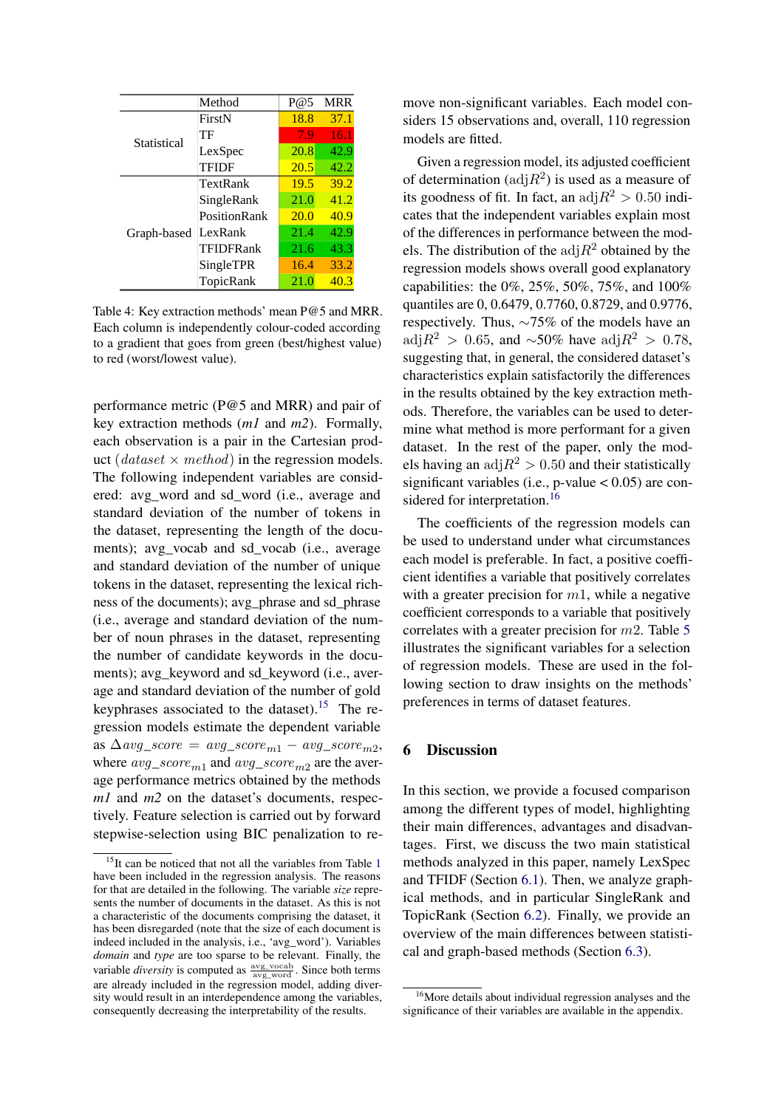<span id="page-6-0"></span>

|             | Method              | $P$ (@5     | <b>MRR</b> |
|-------------|---------------------|-------------|------------|
|             | FirstN              | 18.8        | 37.1       |
| Statistical | TF                  | 7.9         | 16.1       |
|             | LexSpec             | 20.8        | 42.9       |
|             | TFIDF               | 20.5        | 42.2       |
|             | TextRank            | 19.5        | 39.2       |
|             | SingleRank          | 21.0        | 41.2       |
|             | <b>PositionRank</b> | <b>20.0</b> | 40.9       |
| Graph-based | LexRank             | 21.4        | 42.9       |
|             | TFIDFRank           | 21.6        | 43.3       |
|             | SingleTPR           | 16.4        | 33.2       |
|             | TopicRank           | 21.0        | 40.3       |

Table 4: Key extraction methods' mean P@5 and MRR. Each column is independently colour-coded according to a gradient that goes from green (best/highest value) to red (worst/lowest value).

performance metric (P@5 and MRR) and pair of key extraction methods (*m1* and *m2*). Formally, each observation is a pair in the Cartesian product (dataset  $\times$  method) in the regression models. The following independent variables are considered: avg\_word and sd\_word (i.e., average and standard deviation of the number of tokens in the dataset, representing the length of the documents); avg\_vocab and sd\_vocab (i.e., average and standard deviation of the number of unique tokens in the dataset, representing the lexical richness of the documents); avg\_phrase and sd\_phrase (i.e., average and standard deviation of the number of noun phrases in the dataset, representing the number of candidate keywords in the documents); avg\_keyword and sd\_keyword (i.e., average and standard deviation of the number of gold keyphrases associated to the dataset).<sup>[15](#page-0-0)</sup> The regression models estimate the dependent variable as  $\Delta avg\_score = avg\_score_{m1} - avg\_score_{m2}$ where  $avg\_score_{m1}$  and  $avg\_score_{m2}$  are the average performance metrics obtained by the methods *m1* and *m2* on the dataset's documents, respectively. Feature selection is carried out by forward stepwise-selection using BIC penalization to remove non-significant variables. Each model considers 15 observations and, overall, 110 regression models are fitted.

Given a regression model, its adjusted coefficient of determination ( $\text{adj}R^2$ ) is used as a measure of its goodness of fit. In fact, an  $\text{adj}R^2 > 0.50$  indicates that the independent variables explain most of the differences in performance between the models. The distribution of the  $\text{adj}R^2$  obtained by the regression models shows overall good explanatory capabilities: the 0%, 25%, 50%, 75%, and 100% quantiles are 0, 0.6479, 0.7760, 0.8729, and 0.9776, respectively. Thus, ∼75% of the models have an adj $R^2 > 0.65$ , and ~50% have adj $R^2 > 0.78$ , suggesting that, in general, the considered dataset's characteristics explain satisfactorily the differences in the results obtained by the key extraction methods. Therefore, the variables can be used to determine what method is more performant for a given dataset. In the rest of the paper, only the models having an  $\text{adj}R^2 > 0.50$  and their statistically significant variables (i.e., p-value  $< 0.05$ ) are con-sidered for interpretation.<sup>[16](#page-0-0)</sup>

The coefficients of the regression models can be used to understand under what circumstances each model is preferable. In fact, a positive coefficient identifies a variable that positively correlates with a greater precision for  $m_1$ , while a negative coefficient corresponds to a variable that positively correlates with a greater precision for  $m2$ . Table [5](#page-7-1) illustrates the significant variables for a selection of regression models. These are used in the following section to draw insights on the methods' preferences in terms of dataset features.

## <span id="page-6-1"></span>6 Discussion

In this section, we provide a focused comparison among the different types of model, highlighting their main differences, advantages and disadvantages. First, we discuss the two main statistical methods analyzed in this paper, namely LexSpec and TFIDF (Section [6.1\)](#page-7-0). Then, we analyze graphical methods, and in particular SingleRank and TopicRank (Section [6.2\)](#page-7-2). Finally, we provide an overview of the main differences between statistical and graph-based methods (Section [6.3\)](#page-7-3).

<sup>&</sup>lt;sup>[1](#page-3-1)5</sup>It can be noticed that not all the variables from Table 1 have been included in the regression analysis. The reasons for that are detailed in the following. The variable *size* represents the number of documents in the dataset. As this is not a characteristic of the documents comprising the dataset, it has been disregarded (note that the size of each document is indeed included in the analysis, i.e., 'avg\_word'). Variables *domain* and *type* are too sparse to be relevant. Finally, the variable *diversity* is computed as  $\frac{avg\_vocab}{avg\_word}$ . Since both terms are already included in the regression model, adding diversity would result in an interdependence among the variables, consequently decreasing the interpretability of the results.

<sup>&</sup>lt;sup>16</sup>More details about individual regression analyses and the significance of their variables are available in the appendix.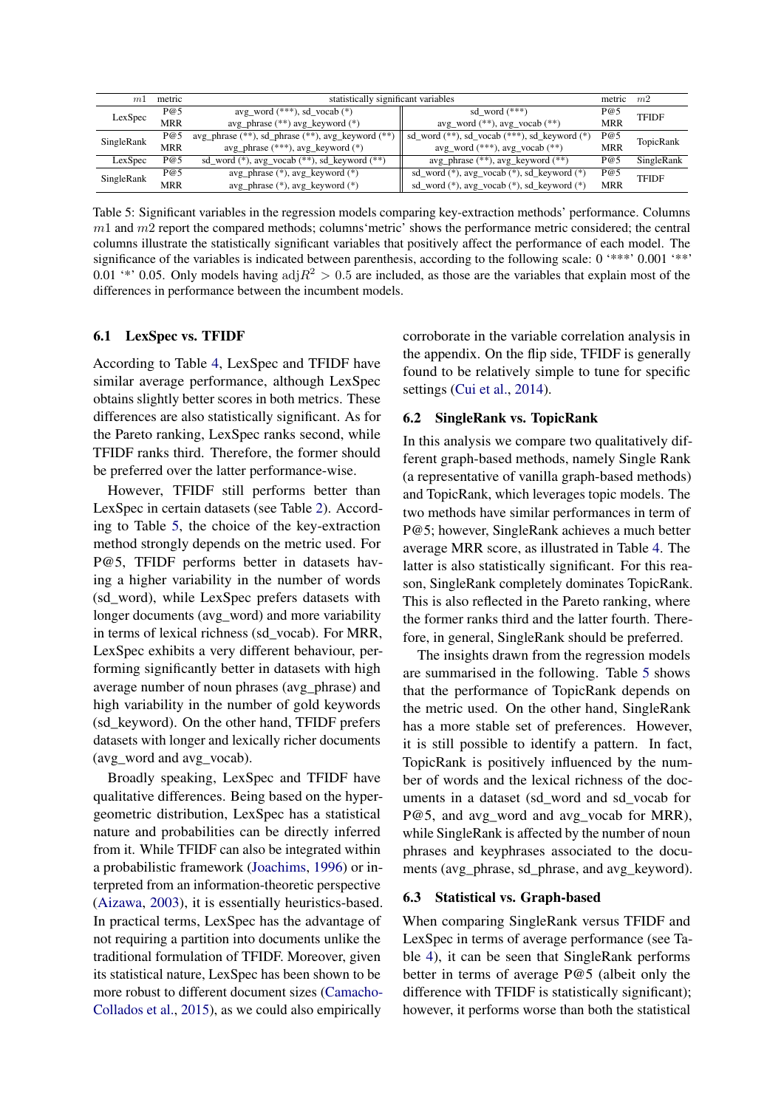<span id="page-7-1"></span>

| m          | metric     | statistically significant variables                       |                                                          | metric $m2$ |              |
|------------|------------|-----------------------------------------------------------|----------------------------------------------------------|-------------|--------------|
| P@5        |            | avg_word $(***)$ , sd_vocab $(*)$                         | sd word $(***)$                                          | P@5         | <b>TFIDF</b> |
| LexSpec    | <b>MRR</b> | $avg_{\text{phrase}}$ (**) $avg_{\text{keyword}}$ (*)     | $avg_{word}$ (**), $avg_{vocab}$ (**)                    | <b>MRR</b>  |              |
| SingleRank | P@5        | avg_phrase $(**)$ , sd_phrase $(**)$ , avg_keyword $(**)$ | sd_word $(**)$ , sd_vocab $(***)$ , sd_keyword $(*)$     | P@5         | TopicRank    |
|            | <b>MRR</b> | $avg_{\text{phrase}}$ (***), $avg_{\text{keyword}}$ (*)   | $avg_{word}$ (***), $avg_{vocab}$ (**)                   | <b>MRR</b>  |              |
| LexSpec    | P@5        | sd_word (*), avg_vocab (**), sd_keyword (**)              | $avg_{\text{phrase}}$ (**), $avg_{\text{keyword}}$ (**)  | P@5         | SingleRank   |
|            | P@5        | avg_phrase (*), avg_keyword (*)                           | $sd_{word}$ (*), $avg_{v}code($ *), $sd_{keyword}$ (*)   | P@5         | <b>TFIDF</b> |
| SingleRank | <b>MRR</b> | $avg_{\text{phrase}}$ (*), $avg_{\text{keyword}}$ (*)     | $sd_{word}$ (*), $avg_{v}$ ocab (*), $sd_{key}$ word (*) | <b>MRR</b>  |              |

Table 5: Significant variables in the regression models comparing key-extraction methods' performance. Columns  $m1$  and  $m2$  report the compared methods; columns 'metric' shows the performance metric considered; the central columns illustrate the statistically significant variables that positively affect the performance of each model. The significance of the variables is indicated between parenthesis, according to the following scale: 0 '\*\*\*' 0.001 '\*\*' 0.01 '\*' 0.05. Only models having  $\text{adj}R^2 > 0.5$  are included, as those are the variables that explain most of the differences in performance between the incumbent models.

#### <span id="page-7-0"></span>6.1 LexSpec vs. TFIDF

According to Table [4,](#page-6-0) LexSpec and TFIDF have similar average performance, although LexSpec obtains slightly better scores in both metrics. These differences are also statistically significant. As for the Pareto ranking, LexSpec ranks second, while TFIDF ranks third. Therefore, the former should be preferred over the latter performance-wise.

However, TFIDF still performs better than LexSpec in certain datasets (see Table [2\)](#page-4-0). According to Table [5,](#page-7-1) the choice of the key-extraction method strongly depends on the metric used. For P@5, TFIDF performs better in datasets having a higher variability in the number of words (sd\_word), while LexSpec prefers datasets with longer documents (avg word) and more variability in terms of lexical richness (sd\_vocab). For MRR, LexSpec exhibits a very different behaviour, performing significantly better in datasets with high average number of noun phrases (avg\_phrase) and high variability in the number of gold keywords (sd\_keyword). On the other hand, TFIDF prefers datasets with longer and lexically richer documents (avg\_word and avg\_vocab).

Broadly speaking, LexSpec and TFIDF have qualitative differences. Being based on the hypergeometric distribution, LexSpec has a statistical nature and probabilities can be directly inferred from it. While TFIDF can also be integrated within a probabilistic framework [\(Joachims,](#page-9-17) [1996\)](#page-9-17) or interpreted from an information-theoretic perspective [\(Aizawa,](#page-8-1) [2003\)](#page-8-1), it is essentially heuristics-based. In practical terms, LexSpec has the advantage of not requiring a partition into documents unlike the traditional formulation of TFIDF. Moreover, given its statistical nature, LexSpec has been shown to be more robust to different document sizes [\(Camacho-](#page-9-18)[Collados et al.,](#page-9-18) [2015\)](#page-9-18), as we could also empirically

corroborate in the variable correlation analysis in the appendix. On the flip side, TFIDF is generally found to be relatively simple to tune for specific settings [\(Cui et al.,](#page-9-19) [2014\)](#page-9-19).

### <span id="page-7-2"></span>6.2 SingleRank vs. TopicRank

In this analysis we compare two qualitatively different graph-based methods, namely Single Rank (a representative of vanilla graph-based methods) and TopicRank, which leverages topic models. The two methods have similar performances in term of P@5; however, SingleRank achieves a much better average MRR score, as illustrated in Table [4.](#page-6-0) The latter is also statistically significant. For this reason, SingleRank completely dominates TopicRank. This is also reflected in the Pareto ranking, where the former ranks third and the latter fourth. Therefore, in general, SingleRank should be preferred.

The insights drawn from the regression models are summarised in the following. Table [5](#page-7-1) shows that the performance of TopicRank depends on the metric used. On the other hand, SingleRank has a more stable set of preferences. However, it is still possible to identify a pattern. In fact, TopicRank is positively influenced by the number of words and the lexical richness of the documents in a dataset (sd\_word and sd\_vocab for P@5, and avg\_word and avg\_vocab for MRR), while SingleRank is affected by the number of noun phrases and keyphrases associated to the documents (avg\_phrase, sd\_phrase, and avg\_keyword).

## <span id="page-7-3"></span>6.3 Statistical vs. Graph-based

When comparing SingleRank versus TFIDF and LexSpec in terms of average performance (see Table [4\)](#page-6-0), it can be seen that SingleRank performs better in terms of average P@5 (albeit only the difference with TFIDF is statistically significant); however, it performs worse than both the statistical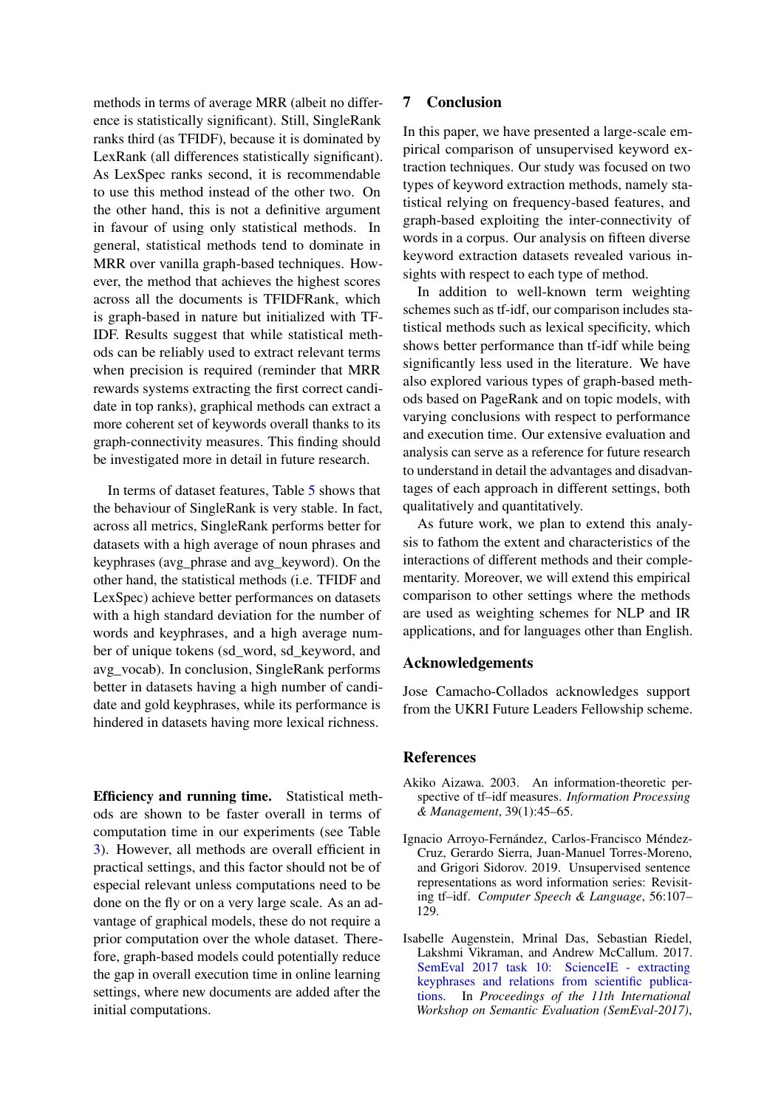methods in terms of average MRR (albeit no difference is statistically significant). Still, SingleRank ranks third (as TFIDF), because it is dominated by LexRank (all differences statistically significant). As LexSpec ranks second, it is recommendable to use this method instead of the other two. On the other hand, this is not a definitive argument in favour of using only statistical methods. In general, statistical methods tend to dominate in MRR over vanilla graph-based techniques. However, the method that achieves the highest scores across all the documents is TFIDFRank, which is graph-based in nature but initialized with TF-IDF. Results suggest that while statistical methods can be reliably used to extract relevant terms when precision is required (reminder that MRR rewards systems extracting the first correct candidate in top ranks), graphical methods can extract a more coherent set of keywords overall thanks to its graph-connectivity measures. This finding should be investigated more in detail in future research.

In terms of dataset features, Table [5](#page-7-1) shows that the behaviour of SingleRank is very stable. In fact, across all metrics, SingleRank performs better for datasets with a high average of noun phrases and keyphrases (avg\_phrase and avg\_keyword). On the other hand, the statistical methods (i.e. TFIDF and LexSpec) achieve better performances on datasets with a high standard deviation for the number of words and keyphrases, and a high average number of unique tokens (sd\_word, sd\_keyword, and avg\_vocab). In conclusion, SingleRank performs better in datasets having a high number of candidate and gold keyphrases, while its performance is hindered in datasets having more lexical richness.

Efficiency and running time. Statistical methods are shown to be faster overall in terms of computation time in our experiments (see Table [3\)](#page-5-0). However, all methods are overall efficient in practical settings, and this factor should not be of especial relevant unless computations need to be done on the fly or on a very large scale. As an advantage of graphical models, these do not require a prior computation over the whole dataset. Therefore, graph-based models could potentially reduce the gap in overall execution time in online learning settings, where new documents are added after the initial computations.

## 7 Conclusion

In this paper, we have presented a large-scale empirical comparison of unsupervised keyword extraction techniques. Our study was focused on two types of keyword extraction methods, namely statistical relying on frequency-based features, and graph-based exploiting the inter-connectivity of words in a corpus. Our analysis on fifteen diverse keyword extraction datasets revealed various insights with respect to each type of method.

In addition to well-known term weighting schemes such as tf-idf, our comparison includes statistical methods such as lexical specificity, which shows better performance than tf-idf while being significantly less used in the literature. We have also explored various types of graph-based methods based on PageRank and on topic models, with varying conclusions with respect to performance and execution time. Our extensive evaluation and analysis can serve as a reference for future research to understand in detail the advantages and disadvantages of each approach in different settings, both qualitatively and quantitatively.

As future work, we plan to extend this analysis to fathom the extent and characteristics of the interactions of different methods and their complementarity. Moreover, we will extend this empirical comparison to other settings where the methods are used as weighting schemes for NLP and IR applications, and for languages other than English.

### Acknowledgements

Jose Camacho-Collados acknowledges support from the UKRI Future Leaders Fellowship scheme.

## References

- <span id="page-8-1"></span>Akiko Aizawa. 2003. An information-theoretic perspective of tf–idf measures. *Information Processing & Management*, 39(1):45–65.
- <span id="page-8-0"></span>Ignacio Arroyo-Fernández, Carlos-Francisco Méndez-Cruz, Gerardo Sierra, Juan-Manuel Torres-Moreno, and Grigori Sidorov. 2019. Unsupervised sentence representations as word information series: Revisiting tf–idf. *Computer Speech & Language*, 56:107– 129.
- <span id="page-8-2"></span>Isabelle Augenstein, Mrinal Das, Sebastian Riedel, Lakshmi Vikraman, and Andrew McCallum. 2017. [SemEval 2017 task 10: ScienceIE - extracting](https://doi.org/10.18653/v1/S17-2091) [keyphrases and relations from scientific publica](https://doi.org/10.18653/v1/S17-2091)[tions.](https://doi.org/10.18653/v1/S17-2091) In *Proceedings of the 11th International Workshop on Semantic Evaluation (SemEval-2017)*,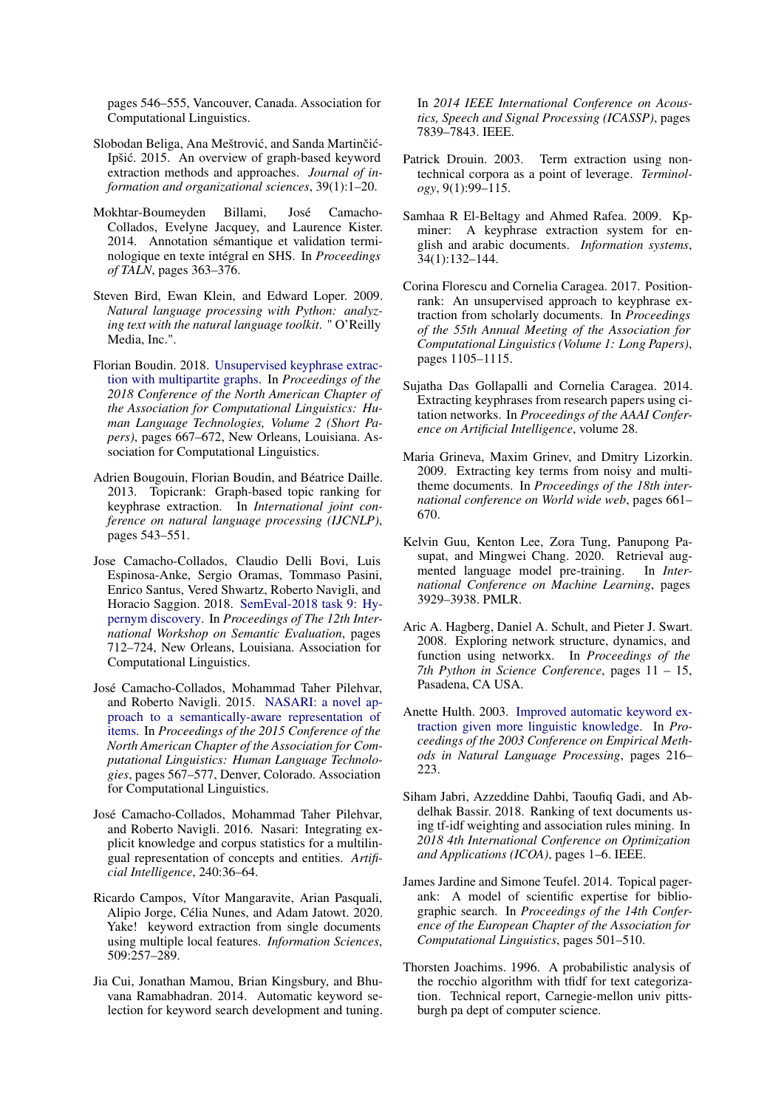pages 546–555, Vancouver, Canada. Association for Computational Linguistics.

- <span id="page-9-7"></span>Slobodan Beliga, Ana Meštrović, and Sanda Martinčić-Ipšic. 2015. An overview of graph-based keyword ´ extraction methods and approaches. *Journal of information and organizational sciences*, 39(1):1–20.
- <span id="page-9-5"></span>Mokhtar-Boumeyden Billami, José Camacho-Collados, Evelyne Jacquey, and Laurence Kister. 2014. Annotation sémantique et validation terminologique en texte intégral en SHS. In *Proceedings of TALN*, pages 363–376.
- <span id="page-9-15"></span>Steven Bird, Ewan Klein, and Edward Loper. 2009. *Natural language processing with Python: analyzing text with the natural language toolkit*. " O'Reilly Media, Inc.".
- <span id="page-9-11"></span>Florian Boudin. 2018. [Unsupervised keyphrase extrac](https://doi.org/10.18653/v1/N18-2105)[tion with multipartite graphs.](https://doi.org/10.18653/v1/N18-2105) In *Proceedings of the 2018 Conference of the North American Chapter of the Association for Computational Linguistics: Human Language Technologies, Volume 2 (Short Papers)*, pages 667–672, New Orleans, Louisiana. Association for Computational Linguistics.
- <span id="page-9-9"></span>Adrien Bougouin, Florian Boudin, and Béatrice Daille. 2013. Topicrank: Graph-based topic ranking for keyphrase extraction. In *International joint conference on natural language processing (IJCNLP)*, pages 543–551.
- <span id="page-9-20"></span>Jose Camacho-Collados, Claudio Delli Bovi, Luis Espinosa-Anke, Sergio Oramas, Tommaso Pasini, Enrico Santus, Vered Shwartz, Roberto Navigli, and Horacio Saggion. 2018. [SemEval-2018 task 9: Hy](https://doi.org/10.18653/v1/S18-1115)[pernym discovery.](https://doi.org/10.18653/v1/S18-1115) In *Proceedings of The 12th International Workshop on Semantic Evaluation*, pages 712–724, New Orleans, Louisiana. Association for Computational Linguistics.
- <span id="page-9-18"></span>José Camacho-Collados, Mohammad Taher Pilehvar, and Roberto Navigli. 2015. [NASARI: a novel ap](https://doi.org/10.3115/v1/N15-1059)[proach to a semantically-aware representation of](https://doi.org/10.3115/v1/N15-1059) [items.](https://doi.org/10.3115/v1/N15-1059) In *Proceedings of the 2015 Conference of the North American Chapter of the Association for Computational Linguistics: Human Language Technologies*, pages 567–577, Denver, Colorado. Association for Computational Linguistics.
- <span id="page-9-6"></span>José Camacho-Collados, Mohammad Taher Pilehvar, and Roberto Navigli. 2016. Nasari: Integrating explicit knowledge and corpus statistics for a multilingual representation of concepts and entities. *Artificial Intelligence*, 240:36–64.
- <span id="page-9-1"></span>Ricardo Campos, Vítor Mangaravite, Arian Pasquali, Alipio Jorge, Célia Nunes, and Adam Jatowt. 2020. Yake! keyword extraction from single documents using multiple local features. *Information Sciences*, 509:257–289.
- <span id="page-9-19"></span>Jia Cui, Jonathan Mamou, Brian Kingsbury, and Bhuvana Ramabhadran. 2014. Automatic keyword selection for keyword search development and tuning.

In *2014 IEEE International Conference on Acoustics, Speech and Signal Processing (ICASSP)*, pages 7839–7843. IEEE.

- <span id="page-9-4"></span>Patrick Drouin. 2003. Term extraction using nontechnical corpora as a point of leverage. *Terminology*, 9(1):99–115.
- <span id="page-9-2"></span>Samhaa R El-Beltagy and Ahmed Rafea. 2009. Kpminer: A keyphrase extraction system for english and arabic documents. *Information systems*, 34(1):132–144.
- <span id="page-9-8"></span>Corina Florescu and Cornelia Caragea. 2017. Positionrank: An unsupervised approach to keyphrase extraction from scholarly documents. In *Proceedings of the 55th Annual Meeting of the Association for Computational Linguistics (Volume 1: Long Papers)*, pages 1105–1115.
- <span id="page-9-14"></span>Sujatha Das Gollapalli and Cornelia Caragea. 2014. Extracting keyphrases from research papers using citation networks. In *Proceedings of the AAAI Conference on Artificial Intelligence*, volume 28.
- <span id="page-9-12"></span>Maria Grineva, Maxim Grinev, and Dmitry Lizorkin. 2009. Extracting key terms from noisy and multitheme documents. In *Proceedings of the 18th international conference on World wide web*, pages 661– 670.
- <span id="page-9-3"></span>Kelvin Guu, Kenton Lee, Zora Tung, Panupong Pasupat, and Mingwei Chang. 2020. Retrieval augmented language model pre-training. In *International Conference on Machine Learning*, pages 3929–3938. PMLR.
- <span id="page-9-16"></span>Aric A. Hagberg, Daniel A. Schult, and Pieter J. Swart. 2008. Exploring network structure, dynamics, and function using networkx. In *Proceedings of the 7th Python in Science Conference*, pages 11 – 15, Pasadena, CA USA.
- <span id="page-9-13"></span>Anette Hulth. 2003. [Improved automatic keyword ex](https://www.aclweb.org/anthology/W03-1028)[traction given more linguistic knowledge.](https://www.aclweb.org/anthology/W03-1028) In *Proceedings of the 2003 Conference on Empirical Methods in Natural Language Processing*, pages 216– 223.
- <span id="page-9-0"></span>Siham Jabri, Azzeddine Dahbi, Taoufiq Gadi, and Abdelhak Bassir. 2018. Ranking of text documents using tf-idf weighting and association rules mining. In *2018 4th International Conference on Optimization and Applications (ICOA)*, pages 1–6. IEEE.
- <span id="page-9-10"></span>James Jardine and Simone Teufel. 2014. Topical pagerank: A model of scientific expertise for bibliographic search. In *Proceedings of the 14th Conference of the European Chapter of the Association for Computational Linguistics*, pages 501–510.
- <span id="page-9-17"></span>Thorsten Joachims. 1996. A probabilistic analysis of the rocchio algorithm with tfidf for text categorization. Technical report, Carnegie-mellon univ pittsburgh pa dept of computer science.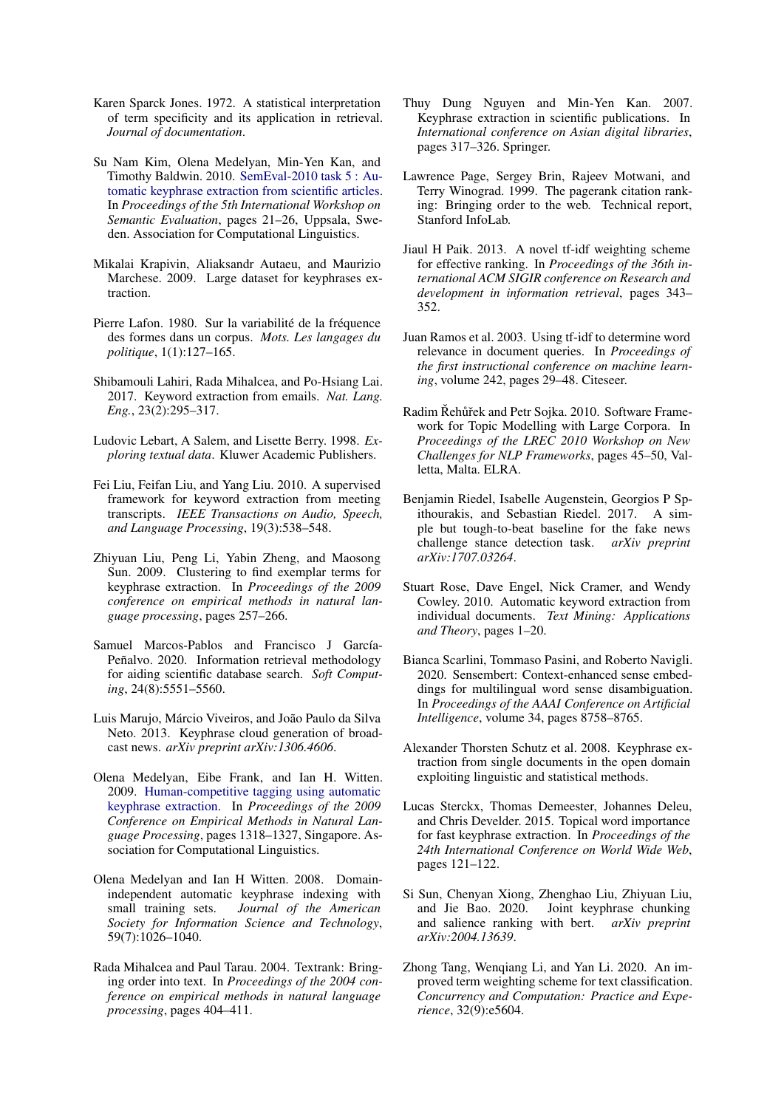- <span id="page-10-0"></span>Karen Sparck Jones. 1972. A statistical interpretation of term specificity and its application in retrieval. *Journal of documentation*.
- <span id="page-10-23"></span>Su Nam Kim, Olena Medelyan, Min-Yen Kan, and Timothy Baldwin. 2010. [SemEval-2010 task 5 : Au](https://www.aclweb.org/anthology/S10-1004)[tomatic keyphrase extraction from scientific articles.](https://www.aclweb.org/anthology/S10-1004) In *Proceedings of the 5th International Workshop on Semantic Evaluation*, pages 21–26, Uppsala, Sweden. Association for Computational Linguistics.
- <span id="page-10-18"></span>Mikalai Krapivin, Aliaksandr Autaeu, and Maurizio Marchese. 2009. Large dataset for keyphrases extraction.
- <span id="page-10-7"></span>Pierre Lafon. 1980. Sur la variabilité de la fréquence des formes dans un corpus. *Mots. Les langages du politique*, 1(1):127–165.
- <span id="page-10-4"></span>Shibamouli Lahiri, Rada Mihalcea, and Po-Hsiang Lai. 2017. Keyword extraction from emails. *Nat. Lang. Eng.*, 23(2):295–317.
- <span id="page-10-12"></span>Ludovic Lebart, A Salem, and Lisette Berry. 1998. *Exploring textual data*. Kluwer Academic Publishers.
- <span id="page-10-9"></span>Fei Liu, Feifan Liu, and Yang Liu. 2010. A supervised framework for keyword extraction from meeting transcripts. *IEEE Transactions on Audio, Speech, and Language Processing*, 19(3):538–548.
- <span id="page-10-16"></span>Zhiyuan Liu, Peng Li, Yabin Zheng, and Maosong Sun. 2009. Clustering to find exemplar terms for keyphrase extraction. In *Proceedings of the 2009 conference on empirical methods in natural language processing*, pages 257–266.
- <span id="page-10-2"></span>Samuel Marcos-Pablos and Francisco J García-Peñalvo. 2020. Information retrieval methodology for aiding scientific database search. *Soft Computing*, 24(8):5551–5560.
- <span id="page-10-17"></span>Luis Marujo, Márcio Viveiros, and João Paulo da Silva Neto. 2013. Keyphrase cloud generation of broadcast news. *arXiv preprint arXiv:1306.4606*.
- <span id="page-10-21"></span>Olena Medelyan, Eibe Frank, and Ian H. Witten. 2009. [Human-competitive tagging using automatic](https://www.aclweb.org/anthology/D09-1137) [keyphrase extraction.](https://www.aclweb.org/anthology/D09-1137) In *Proceedings of the 2009 Conference on Empirical Methods in Natural Language Processing*, pages 1318–1327, Singapore. Association for Computational Linguistics.
- <span id="page-10-19"></span>Olena Medelyan and Ian H Witten. 2008. Domainindependent automatic keyphrase indexing with small training sets. *Journal of the American Society for Information Science and Technology*, 59(7):1026–1040.
- <span id="page-10-8"></span>Rada Mihalcea and Paul Tarau. 2004. Textrank: Bringing order into text. In *Proceedings of the 2004 conference on empirical methods in natural language processing*, pages 404–411.
- <span id="page-10-22"></span>Thuy Dung Nguyen and Min-Yen Kan. 2007. Keyphrase extraction in scientific publications. In *International conference on Asian digital libraries*, pages 317–326. Springer.
- <span id="page-10-14"></span>Lawrence Page, Sergey Brin, Rajeev Motwani, and Terry Winograd. 1999. The pagerank citation ranking: Bringing order to the web. Technical report, Stanford InfoLab.
- <span id="page-10-11"></span>Jiaul H Paik. 2013. A novel tf-idf weighting scheme for effective ranking. In *Proceedings of the 36th international ACM SIGIR conference on Research and development in information retrieval*, pages 343– 352.
- <span id="page-10-1"></span>Juan Ramos et al. 2003. Using tf-idf to determine word relevance in document queries. In *Proceedings of the first instructional conference on machine learning*, volume 242, pages 29–48. Citeseer.
- <span id="page-10-24"></span>Radim Řehůřek and Petr Sojka. 2010. Software Framework for Topic Modelling with Large Corpora. In *Proceedings of the LREC 2010 Workshop on New Challenges for NLP Frameworks*, pages 45–50, Valletta, Malta. ELRA.
- <span id="page-10-3"></span>Benjamin Riedel, Isabelle Augenstein, Georgios P Spithourakis, and Sebastian Riedel. 2017. A simple but tough-to-beat baseline for the fake news challenge stance detection task. *arXiv preprint arXiv:1707.03264*.
- <span id="page-10-10"></span>Stuart Rose, Dave Engel, Nick Cramer, and Wendy Cowley. 2010. Automatic keyword extraction from individual documents. *Text Mining: Applications and Theory*, pages 1–20.
- <span id="page-10-13"></span>Bianca Scarlini, Tommaso Pasini, and Roberto Navigli. 2020. Sensembert: Context-enhanced sense embeddings for multilingual word sense disambiguation. In *Proceedings of the AAAI Conference on Artificial Intelligence*, volume 34, pages 8758–8765.
- <span id="page-10-20"></span>Alexander Thorsten Schutz et al. 2008. Keyphrase extraction from single documents in the open domain exploiting linguistic and statistical methods.
- <span id="page-10-15"></span>Lucas Sterckx, Thomas Demeester, Johannes Deleu, and Chris Develder. 2015. Topical word importance for fast keyphrase extraction. In *Proceedings of the 24th International Conference on World Wide Web*, pages 121–122.
- <span id="page-10-5"></span>Si Sun, Chenyan Xiong, Zhenghao Liu, Zhiyuan Liu, and Jie Bao. 2020. Joint keyphrase chunking and salience ranking with bert. *arXiv preprint arXiv:2004.13639*.
- <span id="page-10-6"></span>Zhong Tang, Wenqiang Li, and Yan Li. 2020. An improved term weighting scheme for text classification. *Concurrency and Computation: Practice and Experience*, 32(9):e5604.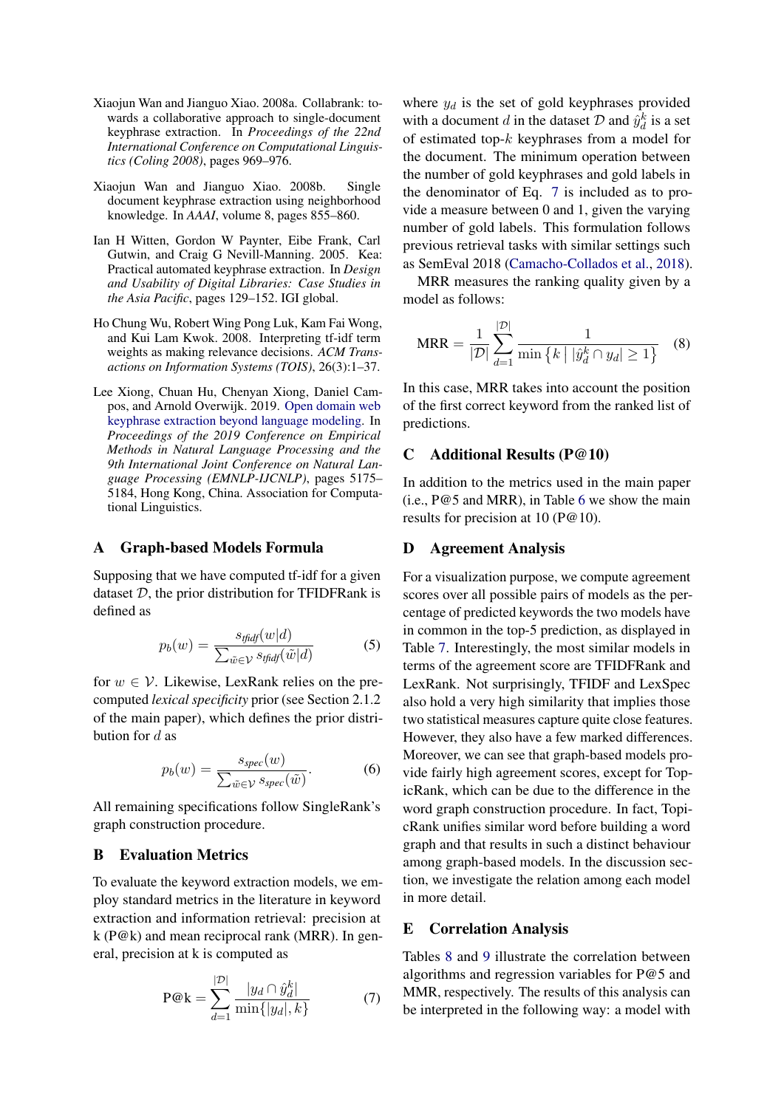- <span id="page-11-3"></span>Xiaojun Wan and Jianguo Xiao. 2008a. Collabrank: towards a collaborative approach to single-document keyphrase extraction. In *Proceedings of the 22nd International Conference on Computational Linguistics (Coling 2008)*, pages 969–976.
- <span id="page-11-4"></span>Xiaojun Wan and Jianguo Xiao. 2008b. Single document keyphrase extraction using neighborhood knowledge. In *AAAI*, volume 8, pages 855–860.
- <span id="page-11-2"></span>Ian H Witten, Gordon W Paynter, Eibe Frank, Carl Gutwin, and Craig G Nevill-Manning. 2005. Kea: Practical automated keyphrase extraction. In *Design and Usability of Digital Libraries: Case Studies in the Asia Pacific*, pages 129–152. IGI global.
- <span id="page-11-0"></span>Ho Chung Wu, Robert Wing Pong Luk, Kam Fai Wong, and Kui Lam Kwok. 2008. Interpreting tf-idf term weights as making relevance decisions. *ACM Transactions on Information Systems (TOIS)*, 26(3):1–37.
- <span id="page-11-1"></span>Lee Xiong, Chuan Hu, Chenyan Xiong, Daniel Campos, and Arnold Overwijk. 2019. [Open domain web](https://doi.org/10.18653/v1/D19-1521) [keyphrase extraction beyond language modeling.](https://doi.org/10.18653/v1/D19-1521) In *Proceedings of the 2019 Conference on Empirical Methods in Natural Language Processing and the 9th International Joint Conference on Natural Language Processing (EMNLP-IJCNLP)*, pages 5175– 5184, Hong Kong, China. Association for Computational Linguistics.

### A Graph-based Models Formula

Supposing that we have computed tf-idf for a given dataset  $D$ , the prior distribution for TFIDFRank is defined as

$$
p_b(w) = \frac{s_{\text{tfidf}}(w|d)}{\sum_{\tilde{w} \in \mathcal{V}} s_{\text{tfidf}}(\tilde{w}|d)} \tag{5}
$$

for  $w \in V$ . Likewise, LexRank relies on the precomputed *lexical specificity* prior (see Section 2.1.2 of the main paper), which defines the prior distribution for  $d$  as

$$
p_b(w) = \frac{s_{spec}(w)}{\sum_{\tilde{w} \in \mathcal{V}} s_{spec}(\tilde{w})}.
$$
 (6)

All remaining specifications follow SingleRank's graph construction procedure.

#### B Evaluation Metrics

To evaluate the keyword extraction models, we employ standard metrics in the literature in keyword extraction and information retrieval: precision at  $k$  (P@k) and mean reciprocal rank (MRR). In general, precision at k is computed as

$$
P@k = \sum_{d=1}^{|\mathcal{D}|} \frac{|y_d \cap \hat{y}_d^k|}{\min\{|y_d|, k\}}
$$
(7)

where  $y_d$  is the set of gold keyphrases provided with a document d in the dataset  $D$  and  $\hat{y}_d^k$  is a set of estimated top- $k$  keyphrases from a model for the document. The minimum operation between the number of gold keyphrases and gold labels in the denominator of Eq. [7](#page-11-5) is included as to provide a measure between 0 and 1, given the varying number of gold labels. This formulation follows previous retrieval tasks with similar settings such as SemEval 2018 [\(Camacho-Collados et al.,](#page-9-20) [2018\)](#page-9-20).

MRR measures the ranking quality given by a model as follows:

$$
MRR = \frac{1}{|\mathcal{D}|} \sum_{d=1}^{|\mathcal{D}|} \frac{1}{\min \{ k \mid |\hat{y}_d^k \cap y_d| \ge 1 \}} \quad (8)
$$

In this case, MRR takes into account the position of the first correct keyword from the ranked list of predictions.

## C Additional Results (P@10)

In addition to the metrics used in the main paper (i.e., P@5 and MRR), in Table [6](#page-12-0) we show the main results for precision at 10 (P@10).

#### D Agreement Analysis

For a visualization purpose, we compute agreement scores over all possible pairs of models as the percentage of predicted keywords the two models have in common in the top-5 prediction, as displayed in Table [7.](#page-12-1) Interestingly, the most similar models in terms of the agreement score are TFIDFRank and LexRank. Not surprisingly, TFIDF and LexSpec also hold a very high similarity that implies those two statistical measures capture quite close features. However, they also have a few marked differences. Moreover, we can see that graph-based models provide fairly high agreement scores, except for TopicRank, which can be due to the difference in the word graph construction procedure. In fact, TopicRank unifies similar word before building a word graph and that results in such a distinct behaviour among graph-based models. In the discussion section, we investigate the relation among each model in more detail.

### E Correlation Analysis

<span id="page-11-5"></span>Tables [8](#page-12-2) and [9](#page-12-3) illustrate the correlation between algorithms and regression variables for P@5 and MMR, respectively. The results of this analysis can be interpreted in the following way: a model with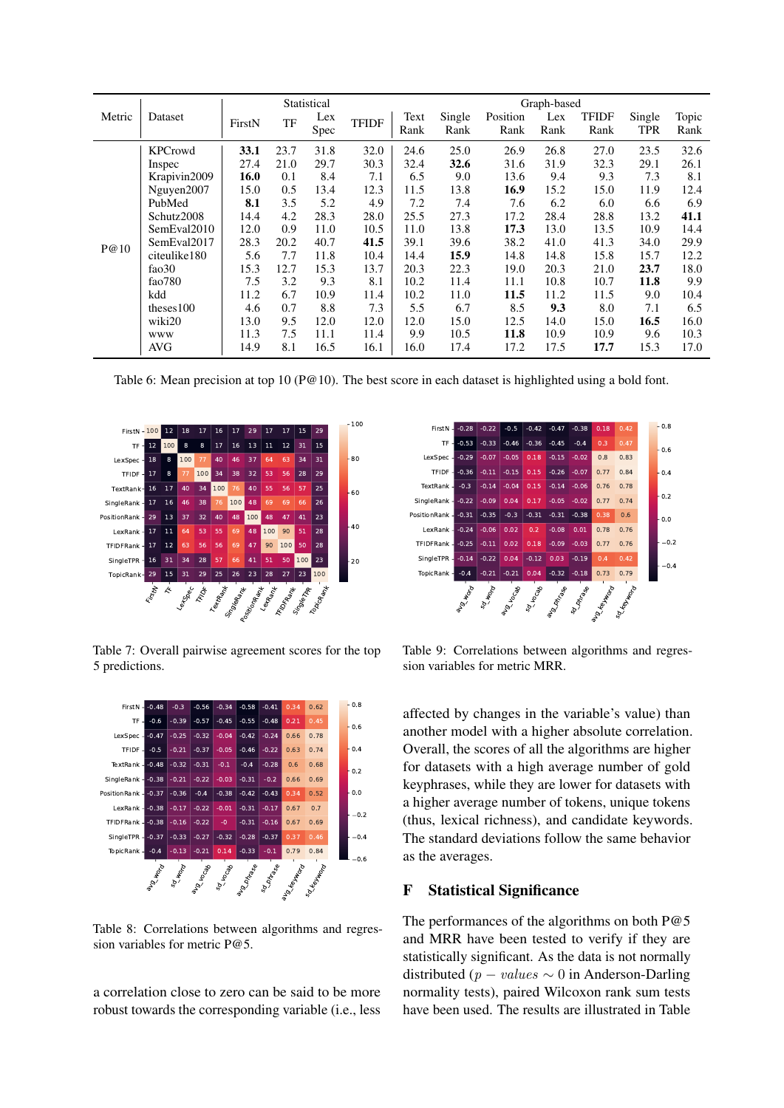<span id="page-12-0"></span>

|        |                |        |      | Statistical |              |      | Graph-based |          |      |       |        |       |  |
|--------|----------------|--------|------|-------------|--------------|------|-------------|----------|------|-------|--------|-------|--|
| Metric | Dataset        | FirstN | TF   | Lex         | <b>TFIDF</b> | Text | Single      | Position | Lex  | TFIDF | Single | Topic |  |
|        |                |        |      | Spec        |              | Rank | Rank        | Rank     | Rank | Rank  | TPR    | Rank  |  |
|        | <b>KPCrowd</b> | 33.1   | 23.7 | 31.8        | 32.0         | 24.6 | 25.0        | 26.9     | 26.8 | 27.0  | 23.5   | 32.6  |  |
|        | Inspec         | 27.4   | 21.0 | 29.7        | 30.3         | 32.4 | 32.6        | 31.6     | 31.9 | 32.3  | 29.1   | 26.1  |  |
|        | Krapivin2009   | 16.0   | 0.1  | 8.4         | 7.1          | 6.5  | 9.0         | 13.6     | 9.4  | 9.3   | 7.3    | 8.1   |  |
|        | Nguyen2007     | 15.0   | 0.5  | 13.4        | 12.3         | 11.5 | 13.8        | 16.9     | 15.2 | 15.0  | 11.9   | 12.4  |  |
|        | PubMed         | 8.1    | 3.5  | 5.2         | 4.9          | 7.2  | 7.4         | 7.6      | 6.2  | 6.0   | 6.6    | 6.9   |  |
|        | Schutz2008     | 14.4   | 4.2  | 28.3        | 28.0         | 25.5 | 27.3        | 17.2     | 28.4 | 28.8  | 13.2   | 41.1  |  |
|        | SemEval2010    | 12.0   | 0.9  | 11.0        | 10.5         | 11.0 | 13.8        | 17.3     | 13.0 | 13.5  | 10.9   | 14.4  |  |
| P@10   | SemEval2017    | 28.3   | 20.2 | 40.7        | 41.5         | 39.1 | 39.6        | 38.2     | 41.0 | 41.3  | 34.0   | 29.9  |  |
|        | citeulike180   | 5.6    | 7.7  | 11.8        | 10.4         | 14.4 | 15.9        | 14.8     | 14.8 | 15.8  | 15.7   | 12.2  |  |
|        | fao30          | 15.3   | 12.7 | 15.3        | 13.7         | 20.3 | 22.3        | 19.0     | 20.3 | 21.0  | 23.7   | 18.0  |  |
|        | fao $780$      | 7.5    | 3.2  | 9.3         | 8.1          | 10.2 | 11.4        | 11.1     | 10.8 | 10.7  | 11.8   | 9.9   |  |
|        | kdd            | 11.2   | 6.7  | 10.9        | 11.4         | 10.2 | 11.0        | 11.5     | 11.2 | 11.5  | 9.0    | 10.4  |  |
|        | theses $100$   | 4.6    | 0.7  | 8.8         | 7.3          | 5.5  | 6.7         | 8.5      | 9.3  | 8.0   | 7.1    | 6.5   |  |
|        | wiki20         | 13.0   | 9.5  | 12.0        | 12.0         | 12.0 | 15.0        | 12.5     | 14.0 | 15.0  | 16.5   | 16.0  |  |
|        | <b>WWW</b>     | 11.3   | 7.5  | 11.1        | 11.4         | 9.9  | 10.5        | 11.8     | 10.9 | 10.9  | 9.6    | 10.3  |  |
|        | AVG            | 14.9   | 8.1  | 16.5        | 16.1         | 16.0 | 17.4        | 17.2     | 17.5 | 17.7  | 15.3   | 17.0  |  |

Table 6: Mean precision at top 10 (P@10). The best score in each dataset is highlighted using a bold font.

<span id="page-12-1"></span>

<span id="page-12-2"></span>Table 7: Overall pairwise agreement scores for the top 5 predictions.



Table 8: Correlations between algorithms and regression variables for metric P@5.

a correlation close to zero can be said to be more

<span id="page-12-3"></span>

Table 9: Correlations between algorithms and regression variables for metric MRR.

affected by changes in the variable's value) than another model with a higher absolute correlation. Overall, the scores of all the algorithms are higher for datasets with a high average number of gold keyphrases, while they are lower for datasets with a higher average number of tokens, unique tokens (thus, lexical richness), and candidate keywords. The standard deviations follow the same behavior as the averages.

## F Statistical Significance

The performances of the algorithms on both P@5 and MRR have been tested to verify if they are statistically significant. As the data is not normally distributed ( $p - values \sim 0$  in Anderson-Darling normality tests), paired Wilcoxon rank sum tests have been used. The results are illustrated in Table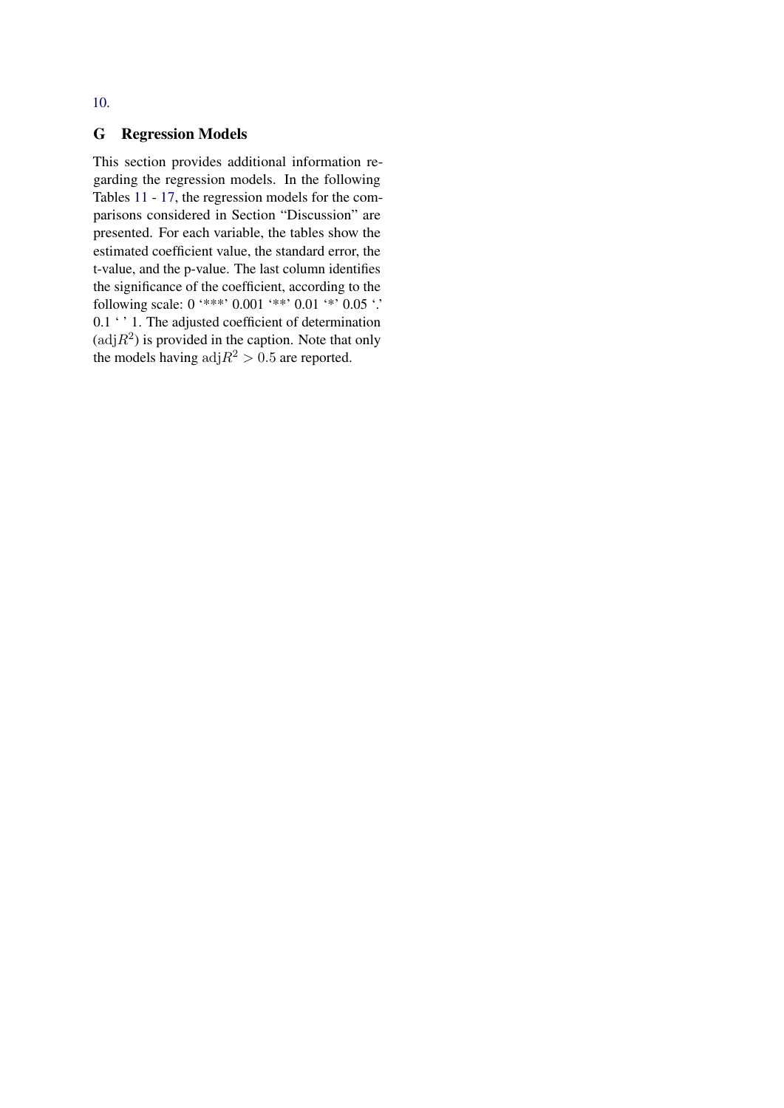## G Regression Models

This section provides additional information regarding the regression models. In the following Tables [11](#page-14-1) - [17,](#page-14-2) the regression models for the comparisons considered in Section "Discussion" are presented. For each variable, the tables show the estimated coefficient value, the standard error, the t-value, and the p-value. The last column identifies the significance of the coefficient, according to the following scale: 0 '\*\*\*' 0.001 '\*\*' 0.01 '\*' 0.05 '.' 0.1  $\cdot$  ' 1. The adjusted coefficient of determination  $(\text{adj}R^2)$  is provided in the caption. Note that only the models having  $\text{adj}R^2 > 0.5$  are reported.